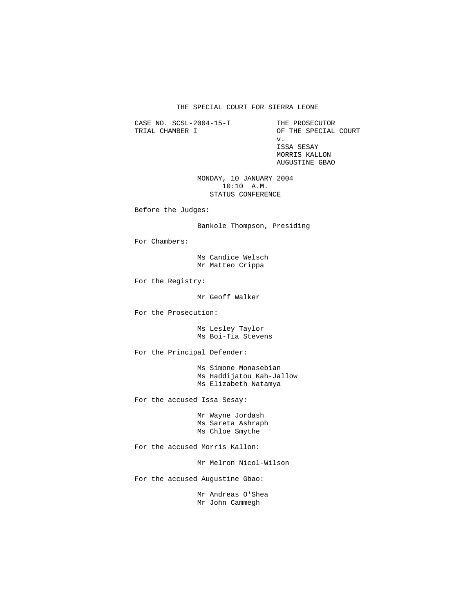## THE SPECIAL COURT FOR SIERRA LEONE

CASE NO. SCSL-2004-15-T THE PROSECUTOR TRIAL CHAMBER I OF THE SPECIAL COURT

 v. ISSA SESAY MORRIS KALLON AUGUSTINE GBAO

> MONDAY, 10 JANUARY 2004 10:10 A.M. STATUS CONFERENCE

Before the Judges:

Bankole Thompson, Presiding

For Chambers:

 Ms Candice Welsch Mr Matteo Crippa

For the Registry:

Mr Geoff Walker

For the Prosecution:

 Ms Lesley Taylor Ms Boi-Tia Stevens

For the Principal Defender:

 Ms Simone Monasebian Ms Haddijatou Kah-Jallow Ms Elizabeth Natamya

For the accused Issa Sesay:

 Mr Wayne Jordash Ms Sareta Ashraph Ms Chloe Smythe

For the accused Morris Kallon:

Mr Melron Nicol-Wilson

For the accused Augustine Gbao:

 Mr Andreas O'Shea Mr John Cammegh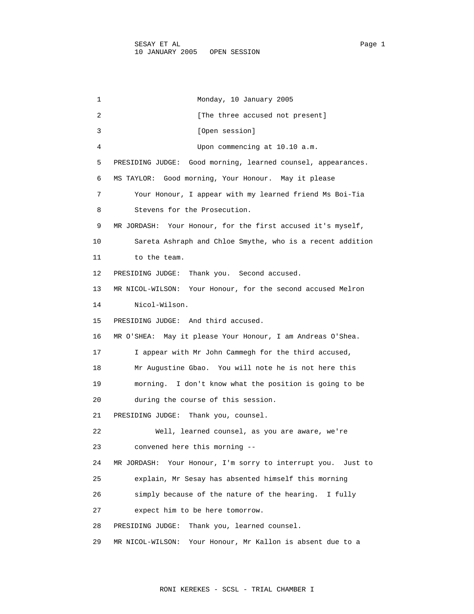1 Monday, 10 January 2005 2 [The three accused not present] 3 [Open session] 4 Upon commencing at 10.10 a.m. 5 PRESIDING JUDGE: Good morning, learned counsel, appearances. 6 MS TAYLOR: Good morning, Your Honour. May it please 7 Your Honour, I appear with my learned friend Ms Boi-Tia 8 Stevens for the Prosecution. 9 MR JORDASH: Your Honour, for the first accused it's myself, 10 Sareta Ashraph and Chloe Smythe, who is a recent addition 11 to the team. 12 PRESIDING JUDGE: Thank you. Second accused. 13 MR NICOL-WILSON: Your Honour, for the second accused Melron 14 Nicol-Wilson. 15 PRESIDING JUDGE: And third accused. 16 MR O'SHEA: May it please Your Honour, I am Andreas O'Shea. 17 I appear with Mr John Cammegh for the third accused, 18 Mr Augustine Gbao. You will note he is not here this 19 morning. I don't know what the position is going to be 20 during the course of this session. 21 PRESIDING JUDGE: Thank you, counsel. 22 Well, learned counsel, as you are aware, we're 23 convened here this morning -- 24 MR JORDASH: Your Honour, I'm sorry to interrupt you. Just to 25 explain, Mr Sesay has absented himself this morning 26 simply because of the nature of the hearing. I fully 27 expect him to be here tomorrow. 28 PRESIDING JUDGE: Thank you, learned counsel. 29 MR NICOL-WILSON: Your Honour, Mr Kallon is absent due to a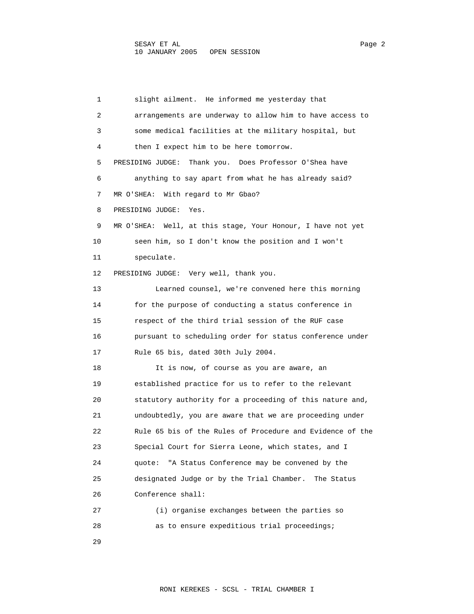1 slight ailment. He informed me yesterday that 2 arrangements are underway to allow him to have access to 3 some medical facilities at the military hospital, but 4 then I expect him to be here tomorrow. 5 PRESIDING JUDGE: Thank you. Does Professor O'Shea have 6 anything to say apart from what he has already said? 7 MR O'SHEA: With regard to Mr Gbao? 8 PRESIDING JUDGE: Yes. 9 MR O'SHEA: Well, at this stage, Your Honour, I have not yet 10 seen him, so I don't know the position and I won't 11 speculate. 12 PRESIDING JUDGE: Very well, thank you. 13 Learned counsel, we're convened here this morning 14 for the purpose of conducting a status conference in 15 respect of the third trial session of the RUF case 16 pursuant to scheduling order for status conference under 17 Rule 65 bis, dated 30th July 2004. 18 It is now, of course as you are aware, an 19 established practice for us to refer to the relevant 20 statutory authority for a proceeding of this nature and, 21 undoubtedly, you are aware that we are proceeding under 22 Rule 65 bis of the Rules of Procedure and Evidence of the 23 Special Court for Sierra Leone, which states, and I 24 quote: "A Status Conference may be convened by the 25 designated Judge or by the Trial Chamber. The Status 26 Conference shall: 27 (i) organise exchanges between the parties so 28 as to ensure expeditious trial proceedings;

29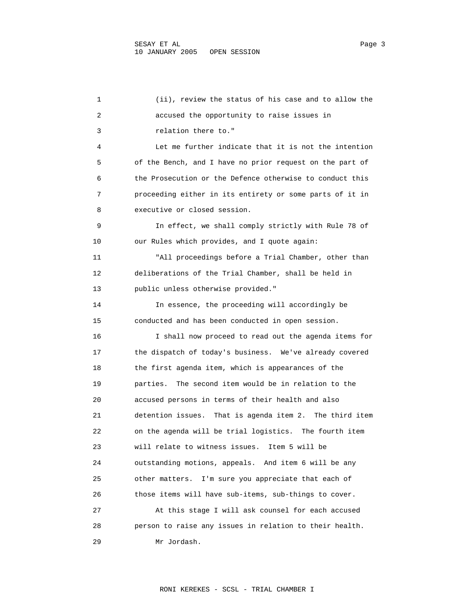1 (ii), review the status of his case and to allow the 2 accused the opportunity to raise issues in 3 relation there to." 4 Let me further indicate that it is not the intention 5 of the Bench, and I have no prior request on the part of 6 the Prosecution or the Defence otherwise to conduct this 7 proceeding either in its entirety or some parts of it in 8 executive or closed session. 9 In effect, we shall comply strictly with Rule 78 of 10 our Rules which provides, and I quote again: 11 "All proceedings before a Trial Chamber, other than 12 deliberations of the Trial Chamber, shall be held in 13 public unless otherwise provided." 14 In essence, the proceeding will accordingly be 15 conducted and has been conducted in open session. 16 I shall now proceed to read out the agenda items for 17 the dispatch of today's business. We've already covered 18 the first agenda item, which is appearances of the 19 parties. The second item would be in relation to the 20 accused persons in terms of their health and also 21 detention issues. That is agenda item 2. The third item 22 on the agenda will be trial logistics. The fourth item 23 will relate to witness issues. Item 5 will be 24 outstanding motions, appeals. And item 6 will be any 25 other matters. I'm sure you appreciate that each of 26 those items will have sub-items, sub-things to cover. 27 At this stage I will ask counsel for each accused 28 person to raise any issues in relation to their health. 29 Mr Jordash.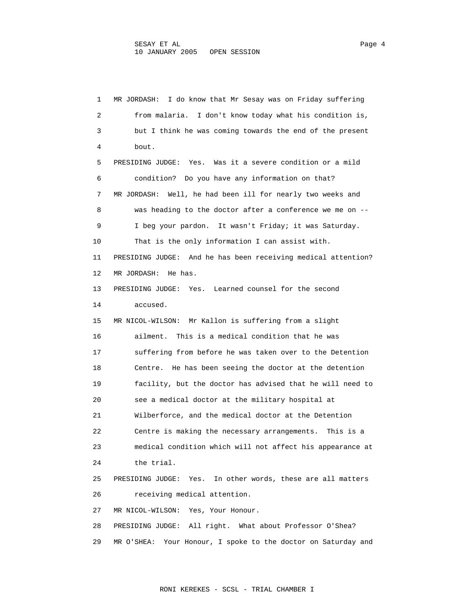1 MR JORDASH: I do know that Mr Sesay was on Friday suffering 2 from malaria. I don't know today what his condition is, 3 but I think he was coming towards the end of the present 4 bout. 5 PRESIDING JUDGE: Yes. Was it a severe condition or a mild 6 condition? Do you have any information on that? 7 MR JORDASH: Well, he had been ill for nearly two weeks and 8 was heading to the doctor after a conference we me on -- 9 I beg your pardon. It wasn't Friday; it was Saturday. 10 That is the only information I can assist with. 11 PRESIDING JUDGE: And he has been receiving medical attention? 12 MR JORDASH: He has. 13 PRESIDING JUDGE: Yes. Learned counsel for the second 14 accused. 15 MR NICOL-WILSON: Mr Kallon is suffering from a slight 16 ailment. This is a medical condition that he was 17 suffering from before he was taken over to the Detention 18 Centre. He has been seeing the doctor at the detention 19 facility, but the doctor has advised that he will need to 20 see a medical doctor at the military hospital at 21 Wilberforce, and the medical doctor at the Detention 22 Centre is making the necessary arrangements. This is a 23 medical condition which will not affect his appearance at 24 the trial. 25 PRESIDING JUDGE: Yes. In other words, these are all matters 26 receiving medical attention. 27 MR NICOL-WILSON: Yes, Your Honour. 28 PRESIDING JUDGE: All right. What about Professor O'Shea? 29 MR O'SHEA: Your Honour, I spoke to the doctor on Saturday and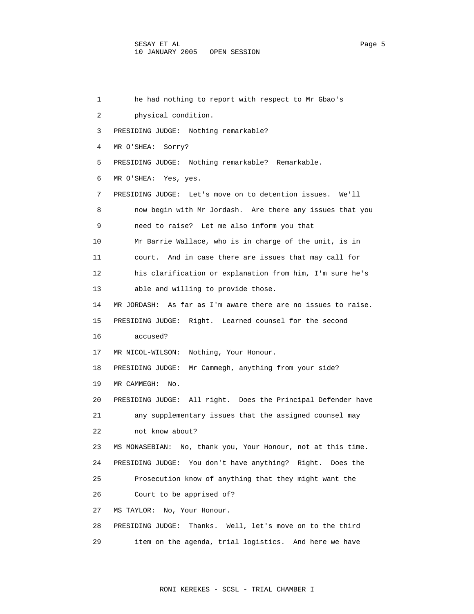1 he had nothing to report with respect to Mr Gbao's 2 physical condition. 3 PRESIDING JUDGE: Nothing remarkable? 4 MR O'SHEA: Sorry? 5 PRESIDING JUDGE: Nothing remarkable? Remarkable. 6 MR O'SHEA: Yes, yes. 7 PRESIDING JUDGE: Let's move on to detention issues. We'll 8 now begin with Mr Jordash. Are there any issues that you 9 need to raise? Let me also inform you that 10 Mr Barrie Wallace, who is in charge of the unit, is in 11 court. And in case there are issues that may call for 12 his clarification or explanation from him, I'm sure he's 13 able and willing to provide those. 14 MR JORDASH: As far as I'm aware there are no issues to raise. 15 PRESIDING JUDGE: Right. Learned counsel for the second 16 accused? 17 MR NICOL-WILSON: Nothing, Your Honour. 18 PRESIDING JUDGE: Mr Cammegh, anything from your side? 19 MR CAMMEGH: No. 20 PRESIDING JUDGE: All right. Does the Principal Defender have 21 any supplementary issues that the assigned counsel may 22 not know about? 23 MS MONASEBIAN: No, thank you, Your Honour, not at this time. 24 PRESIDING JUDGE: You don't have anything? Right. Does the 25 Prosecution know of anything that they might want the 26 Court to be apprised of? 27 MS TAYLOR: No, Your Honour. 28 PRESIDING JUDGE: Thanks. Well, let's move on to the third 29 item on the agenda, trial logistics. And here we have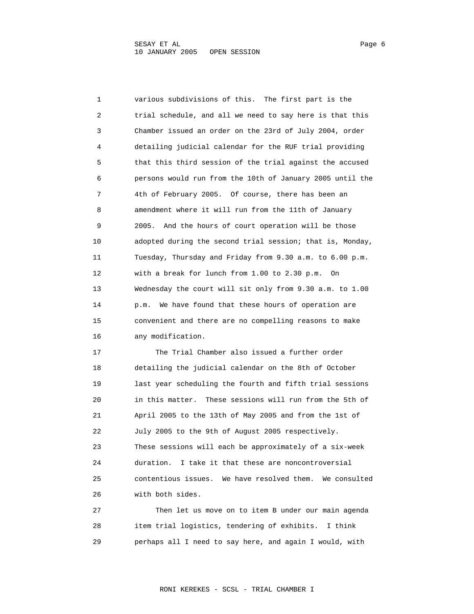1 various subdivisions of this. The first part is the 2 trial schedule, and all we need to say here is that this 3 Chamber issued an order on the 23rd of July 2004, order 4 detailing judicial calendar for the RUF trial providing 5 that this third session of the trial against the accused 6 persons would run from the 10th of January 2005 until the 7 4th of February 2005. Of course, there has been an 8 amendment where it will run from the 11th of January 9 2005. And the hours of court operation will be those 10 adopted during the second trial session; that is, Monday, 11 Tuesday, Thursday and Friday from 9.30 a.m. to 6.00 p.m. 12 with a break for lunch from 1.00 to 2.30 p.m. On 13 Wednesday the court will sit only from 9.30 a.m. to 1.00 14 p.m. We have found that these hours of operation are 15 convenient and there are no compelling reasons to make 16 any modification. 17 The Trial Chamber also issued a further order 18 detailing the judicial calendar on the 8th of October 19 last year scheduling the fourth and fifth trial sessions 20 in this matter. These sessions will run from the 5th of 21 April 2005 to the 13th of May 2005 and from the 1st of 22 July 2005 to the 9th of August 2005 respectively. 23 These sessions will each be approximately of a six-week 24 duration. I take it that these are noncontroversial 25 contentious issues. We have resolved them. We consulted 26 with both sides. 27 Then let us move on to item B under our main agenda 28 item trial logistics, tendering of exhibits. I think

29 perhaps all I need to say here, and again I would, with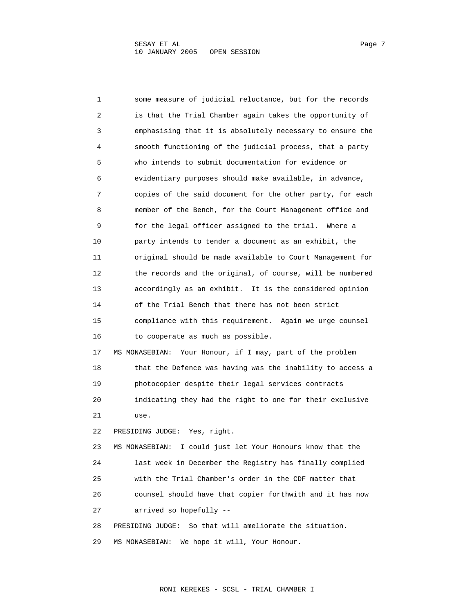1 some measure of judicial reluctance, but for the records 2 is that the Trial Chamber again takes the opportunity of 3 emphasising that it is absolutely necessary to ensure the 4 smooth functioning of the judicial process, that a party 5 who intends to submit documentation for evidence or 6 evidentiary purposes should make available, in advance, 7 copies of the said document for the other party, for each 8 member of the Bench, for the Court Management office and 9 for the legal officer assigned to the trial. Where a 10 party intends to tender a document as an exhibit, the 11 original should be made available to Court Management for 12 the records and the original, of course, will be numbered 13 accordingly as an exhibit. It is the considered opinion 14 of the Trial Bench that there has not been strict 15 compliance with this requirement. Again we urge counsel 16 to cooperate as much as possible. 17 MS MONASEBIAN: Your Honour, if I may, part of the problem 18 that the Defence was having was the inability to access a 19 photocopier despite their legal services contracts 20 indicating they had the right to one for their exclusive 21 use. 22 PRESIDING JUDGE: Yes, right. 23 MS MONASEBIAN: I could just let Your Honours know that the 24 last week in December the Registry has finally complied 25 with the Trial Chamber's order in the CDF matter that 26 counsel should have that copier forthwith and it has now 27 arrived so hopefully -- 28 PRESIDING JUDGE: So that will ameliorate the situation. 29 MS MONASEBIAN: We hope it will, Your Honour.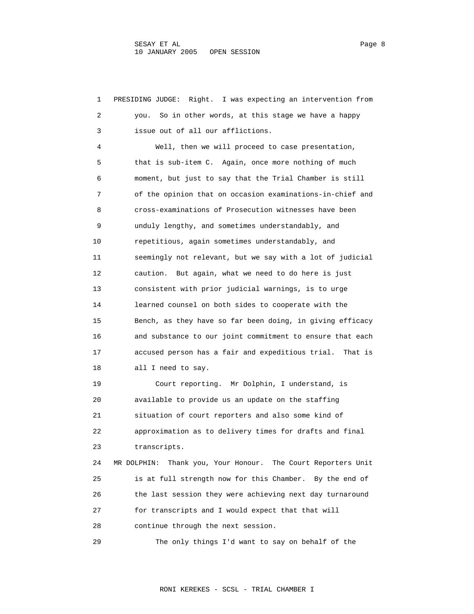1 PRESIDING JUDGE: Right. I was expecting an intervention from 2 you. So in other words, at this stage we have a happy 3 issue out of all our afflictions. 4 Well, then we will proceed to case presentation, 5 that is sub-item C. Again, once more nothing of much 6 moment, but just to say that the Trial Chamber is still 7 of the opinion that on occasion examinations-in-chief and 8 cross-examinations of Prosecution witnesses have been 9 unduly lengthy, and sometimes understandably, and 10 repetitious, again sometimes understandably, and 11 seemingly not relevant, but we say with a lot of judicial 12 caution. But again, what we need to do here is just 13 consistent with prior judicial warnings, is to urge 14 learned counsel on both sides to cooperate with the 15 Bench, as they have so far been doing, in giving efficacy 16 and substance to our joint commitment to ensure that each 17 accused person has a fair and expeditious trial. That is 18 all I need to say. 19 Court reporting. Mr Dolphin, I understand, is 20 available to provide us an update on the staffing 21 situation of court reporters and also some kind of 22 approximation as to delivery times for drafts and final 23 transcripts. 24 MR DOLPHIN: Thank you, Your Honour. The Court Reporters Unit 25 is at full strength now for this Chamber. By the end of 26 the last session they were achieving next day turnaround 27 for transcripts and I would expect that that will 28 continue through the next session. 29 The only things I'd want to say on behalf of the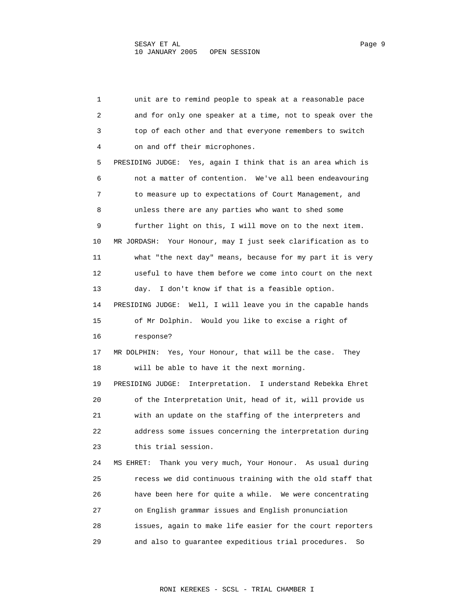1 unit are to remind people to speak at a reasonable pace 2 and for only one speaker at a time, not to speak over the 3 top of each other and that everyone remembers to switch 4 on and off their microphones. 5 PRESIDING JUDGE: Yes, again I think that is an area which is 6 not a matter of contention. We've all been endeavouring 7 to measure up to expectations of Court Management, and 8 unless there are any parties who want to shed some 9 further light on this, I will move on to the next item. 10 MR JORDASH: Your Honour, may I just seek clarification as to 11 what "the next day" means, because for my part it is very 12 useful to have them before we come into court on the next 13 day. I don't know if that is a feasible option. 14 PRESIDING JUDGE: Well, I will leave you in the capable hands 15 of Mr Dolphin. Would you like to excise a right of 16 response? 17 MR DOLPHIN: Yes, Your Honour, that will be the case. They 18 will be able to have it the next morning. 19 PRESIDING JUDGE: Interpretation. I understand Rebekka Ehret 20 of the Interpretation Unit, head of it, will provide us 21 with an update on the staffing of the interpreters and 22 address some issues concerning the interpretation during 23 this trial session. 24 MS EHRET: Thank you very much, Your Honour. As usual during 25 recess we did continuous training with the old staff that 26 have been here for quite a while. We were concentrating 27 on English grammar issues and English pronunciation 28 issues, again to make life easier for the court reporters 29 and also to guarantee expeditious trial procedures. So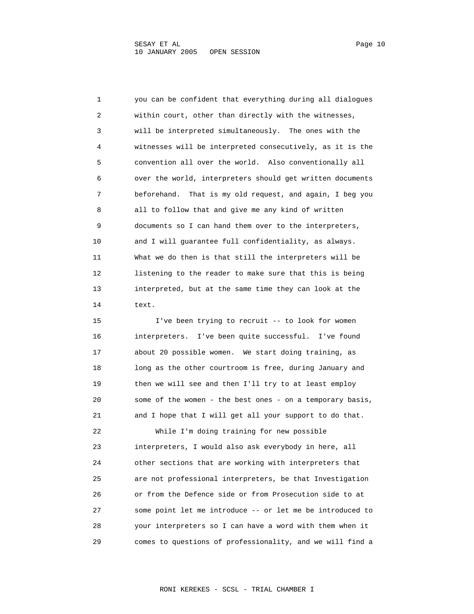1 you can be confident that everything during all dialogues 2 within court, other than directly with the witnesses, 3 will be interpreted simultaneously. The ones with the 4 witnesses will be interpreted consecutively, as it is the 5 convention all over the world. Also conventionally all 6 over the world, interpreters should get written documents 7 beforehand. That is my old request, and again, I beg you 8 all to follow that and give me any kind of written 9 documents so I can hand them over to the interpreters, 10 and I will guarantee full confidentiality, as always. 11 What we do then is that still the interpreters will be 12 listening to the reader to make sure that this is being 13 interpreted, but at the same time they can look at the 14 text.

 15 I've been trying to recruit -- to look for women 16 interpreters. I've been quite successful. I've found 17 about 20 possible women. We start doing training, as 18 long as the other courtroom is free, during January and 19 then we will see and then I'll try to at least employ 20 some of the women - the best ones - on a temporary basis, 21 and I hope that I will get all your support to do that. 22 While I'm doing training for new possible 23 interpreters, I would also ask everybody in here, all 24 other sections that are working with interpreters that 25 are not professional interpreters, be that Investigation 26 or from the Defence side or from Prosecution side to at 27 some point let me introduce -- or let me be introduced to 28 your interpreters so I can have a word with them when it 29 comes to questions of professionality, and we will find a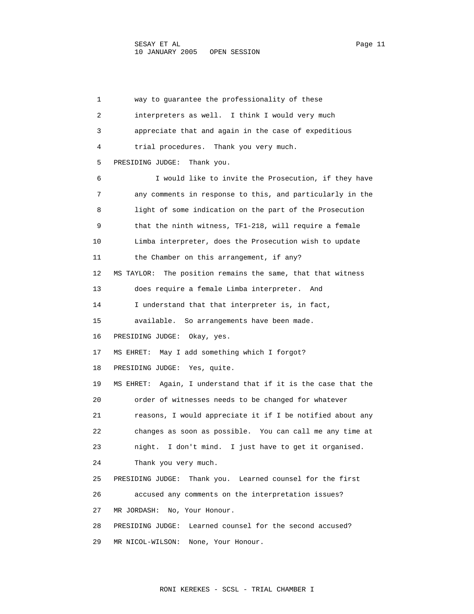1 way to guarantee the professionality of these 2 interpreters as well. I think I would very much 3 appreciate that and again in the case of expeditious 4 trial procedures. Thank you very much. 5 PRESIDING JUDGE: Thank you. 6 I would like to invite the Prosecution, if they have 7 any comments in response to this, and particularly in the 8 light of some indication on the part of the Prosecution 9 that the ninth witness, TF1-218, will require a female 10 Limba interpreter, does the Prosecution wish to update 11 the Chamber on this arrangement, if any? 12 MS TAYLOR: The position remains the same, that that witness 13 does require a female Limba interpreter. And 14 I understand that that interpreter is, in fact, 15 available. So arrangements have been made. 16 PRESIDING JUDGE: Okay, yes. 17 MS EHRET: May I add something which I forgot? 18 PRESIDING JUDGE: Yes, quite. 19 MS EHRET: Again, I understand that if it is the case that the 20 order of witnesses needs to be changed for whatever 21 reasons, I would appreciate it if I be notified about any 22 changes as soon as possible. You can call me any time at 23 night. I don't mind. I just have to get it organised. 24 Thank you very much. 25 PRESIDING JUDGE: Thank you. Learned counsel for the first 26 accused any comments on the interpretation issues? 27 MR JORDASH: No, Your Honour. 28 PRESIDING JUDGE: Learned counsel for the second accused? 29 MR NICOL-WILSON: None, Your Honour.

RONI KEREKES - SCSL - TRIAL CHAMBER I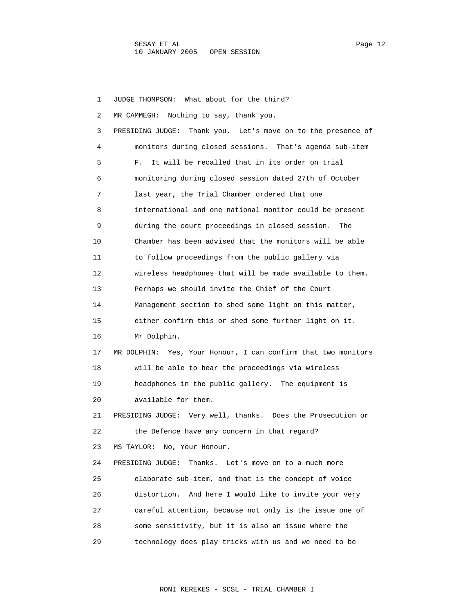1 JUDGE THOMPSON: What about for the third? 2 MR CAMMEGH: Nothing to say, thank you. 3 PRESIDING JUDGE: Thank you. Let's move on to the presence of 4 monitors during closed sessions. That's agenda sub-item 5 F. It will be recalled that in its order on trial 6 monitoring during closed session dated 27th of October 7 last year, the Trial Chamber ordered that one 8 international and one national monitor could be present 9 during the court proceedings in closed session. The 10 Chamber has been advised that the monitors will be able 11 to follow proceedings from the public gallery via 12 wireless headphones that will be made available to them. 13 Perhaps we should invite the Chief of the Court 14 Management section to shed some light on this matter, 15 either confirm this or shed some further light on it. 16 Mr Dolphin. 17 MR DOLPHIN: Yes, Your Honour, I can confirm that two monitors 18 will be able to hear the proceedings via wireless 19 headphones in the public gallery. The equipment is 20 available for them. 21 PRESIDING JUDGE: Very well, thanks. Does the Prosecution or 22 the Defence have any concern in that regard? 23 MS TAYLOR: No, Your Honour. 24 PRESIDING JUDGE: Thanks. Let's move on to a much more 25 elaborate sub-item, and that is the concept of voice 26 distortion. And here I would like to invite your very 27 careful attention, because not only is the issue one of 28 some sensitivity, but it is also an issue where the 29 technology does play tricks with us and we need to be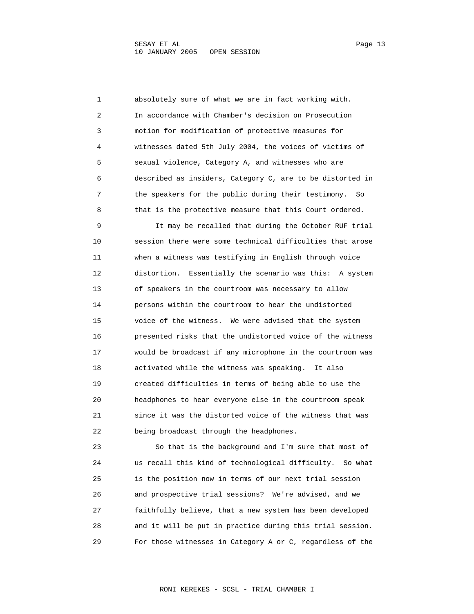1 absolutely sure of what we are in fact working with. 2 In accordance with Chamber's decision on Prosecution 3 motion for modification of protective measures for 4 witnesses dated 5th July 2004, the voices of victims of 5 sexual violence, Category A, and witnesses who are 6 described as insiders, Category C, are to be distorted in 7 the speakers for the public during their testimony. So 8 that is the protective measure that this Court ordered. 9 It may be recalled that during the October RUF trial 10 session there were some technical difficulties that arose 11 when a witness was testifying in English through voice 12 distortion. Essentially the scenario was this: A system 13 of speakers in the courtroom was necessary to allow 14 persons within the courtroom to hear the undistorted 15 voice of the witness. We were advised that the system 16 presented risks that the undistorted voice of the witness 17 would be broadcast if any microphone in the courtroom was 18 activated while the witness was speaking. It also 19 created difficulties in terms of being able to use the 20 headphones to hear everyone else in the courtroom speak 21 since it was the distorted voice of the witness that was 22 being broadcast through the headphones.

 23 So that is the background and I'm sure that most of 24 us recall this kind of technological difficulty. So what 25 is the position now in terms of our next trial session 26 and prospective trial sessions? We're advised, and we 27 faithfully believe, that a new system has been developed 28 and it will be put in practice during this trial session. 29 For those witnesses in Category A or C, regardless of the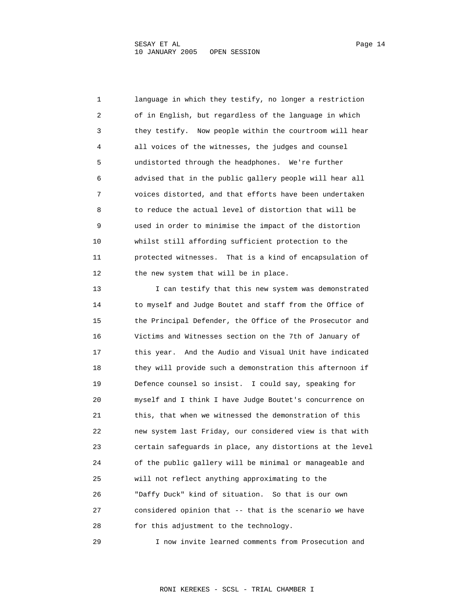1 language in which they testify, no longer a restriction 2 of in English, but regardless of the language in which 3 they testify. Now people within the courtroom will hear 4 all voices of the witnesses, the judges and counsel 5 undistorted through the headphones. We're further 6 advised that in the public gallery people will hear all 7 voices distorted, and that efforts have been undertaken 8 to reduce the actual level of distortion that will be 9 used in order to minimise the impact of the distortion 10 whilst still affording sufficient protection to the 11 protected witnesses. That is a kind of encapsulation of 12 the new system that will be in place.

 13 I can testify that this new system was demonstrated 14 to myself and Judge Boutet and staff from the Office of 15 the Principal Defender, the Office of the Prosecutor and 16 Victims and Witnesses section on the 7th of January of 17 this year. And the Audio and Visual Unit have indicated 18 they will provide such a demonstration this afternoon if 19 Defence counsel so insist. I could say, speaking for 20 myself and I think I have Judge Boutet's concurrence on 21 this, that when we witnessed the demonstration of this 22 new system last Friday, our considered view is that with 23 certain safeguards in place, any distortions at the level 24 of the public gallery will be minimal or manageable and 25 will not reflect anything approximating to the 26 "Daffy Duck" kind of situation. So that is our own 27 considered opinion that -- that is the scenario we have 28 for this adjustment to the technology.

29 I now invite learned comments from Prosecution and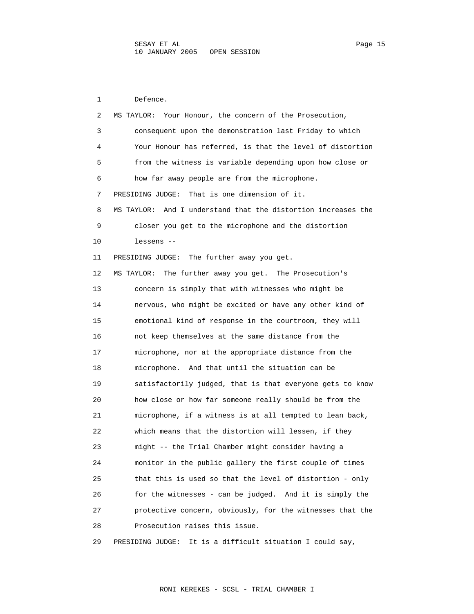1 Defence. 2 MS TAYLOR: Your Honour, the concern of the Prosecution, 3 consequent upon the demonstration last Friday to which 4 Your Honour has referred, is that the level of distortion 5 from the witness is variable depending upon how close or 6 how far away people are from the microphone. 7 PRESIDING JUDGE: That is one dimension of it. 8 MS TAYLOR: And I understand that the distortion increases the 9 closer you get to the microphone and the distortion 10 lessens -- 11 PRESIDING JUDGE: The further away you get. 12 MS TAYLOR: The further away you get. The Prosecution's 13 concern is simply that with witnesses who might be 14 nervous, who might be excited or have any other kind of 15 emotional kind of response in the courtroom, they will 16 not keep themselves at the same distance from the 17 microphone, nor at the appropriate distance from the 18 microphone. And that until the situation can be 19 satisfactorily judged, that is that everyone gets to know 20 how close or how far someone really should be from the 21 microphone, if a witness is at all tempted to lean back, 22 which means that the distortion will lessen, if they 23 might -- the Trial Chamber might consider having a 24 monitor in the public gallery the first couple of times 25 that this is used so that the level of distortion - only 26 for the witnesses - can be judged. And it is simply the 27 protective concern, obviously, for the witnesses that the 28 Prosecution raises this issue. 29 PRESIDING JUDGE: It is a difficult situation I could say,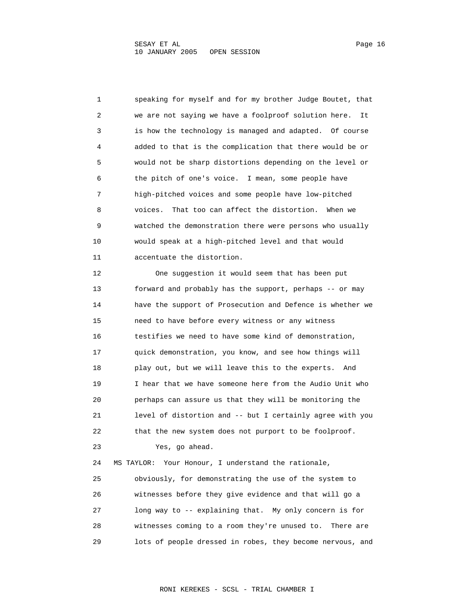1 speaking for myself and for my brother Judge Boutet, that 2 we are not saying we have a foolproof solution here. It 3 is how the technology is managed and adapted. Of course 4 added to that is the complication that there would be or 5 would not be sharp distortions depending on the level or 6 the pitch of one's voice. I mean, some people have 7 high-pitched voices and some people have low-pitched 8 voices. That too can affect the distortion. When we 9 watched the demonstration there were persons who usually 10 would speak at a high-pitched level and that would 11 accentuate the distortion.

 12 One suggestion it would seem that has been put 13 forward and probably has the support, perhaps -- or may 14 have the support of Prosecution and Defence is whether we 15 need to have before every witness or any witness 16 testifies we need to have some kind of demonstration, 17 quick demonstration, you know, and see how things will 18 play out, but we will leave this to the experts. And 19 I hear that we have someone here from the Audio Unit who 20 perhaps can assure us that they will be monitoring the 21 level of distortion and -- but I certainly agree with you 22 that the new system does not purport to be foolproof. 23 Yes, go ahead. 24 MS TAYLOR: Your Honour, I understand the rationale, 25 obviously, for demonstrating the use of the system to

 26 witnesses before they give evidence and that will go a 27 long way to -- explaining that. My only concern is for 28 witnesses coming to a room they're unused to. There are 29 lots of people dressed in robes, they become nervous, and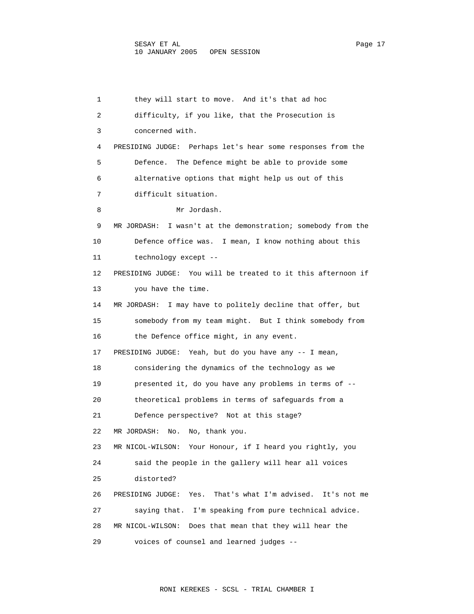1 they will start to move. And it's that ad hoc 2 difficulty, if you like, that the Prosecution is 3 concerned with. 4 PRESIDING JUDGE: Perhaps let's hear some responses from the 5 Defence. The Defence might be able to provide some 6 alternative options that might help us out of this 7 difficult situation. 8 Mr Jordash. 9 MR JORDASH: I wasn't at the demonstration; somebody from the 10 Defence office was. I mean, I know nothing about this 11 technology except -- 12 PRESIDING JUDGE: You will be treated to it this afternoon if 13 you have the time. 14 MR JORDASH: I may have to politely decline that offer, but 15 somebody from my team might. But I think somebody from 16 the Defence office might, in any event. 17 PRESIDING JUDGE: Yeah, but do you have any -- I mean, 18 considering the dynamics of the technology as we 19 presented it, do you have any problems in terms of -- 20 theoretical problems in terms of safeguards from a 21 Defence perspective? Not at this stage? 22 MR JORDASH: No. No, thank you. 23 MR NICOL-WILSON: Your Honour, if I heard you rightly, you 24 said the people in the gallery will hear all voices 25 distorted? 26 PRESIDING JUDGE: Yes. That's what I'm advised. It's not me 27 saying that. I'm speaking from pure technical advice. 28 MR NICOL-WILSON: Does that mean that they will hear the 29 voices of counsel and learned judges --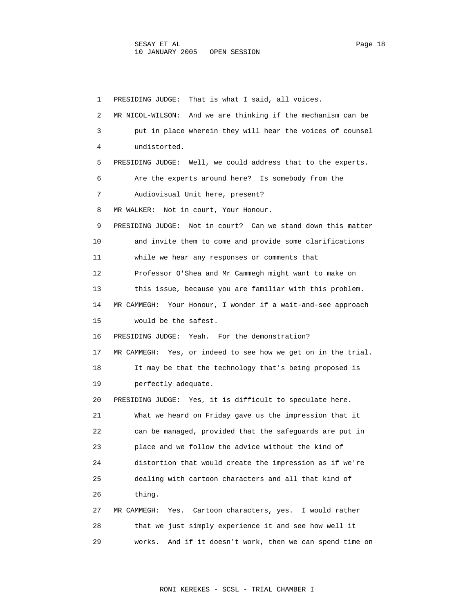1 PRESIDING JUDGE: That is what I said, all voices. 2 MR NICOL-WILSON: And we are thinking if the mechanism can be 3 put in place wherein they will hear the voices of counsel 4 undistorted. 5 PRESIDING JUDGE: Well, we could address that to the experts. 6 Are the experts around here? Is somebody from the 7 Audiovisual Unit here, present? 8 MR WALKER: Not in court, Your Honour. 9 PRESIDING JUDGE: Not in court? Can we stand down this matter 10 and invite them to come and provide some clarifications 11 while we hear any responses or comments that 12 Professor O'Shea and Mr Cammegh might want to make on 13 this issue, because you are familiar with this problem. 14 MR CAMMEGH: Your Honour, I wonder if a wait-and-see approach 15 would be the safest. 16 PRESIDING JUDGE: Yeah. For the demonstration? 17 MR CAMMEGH: Yes, or indeed to see how we get on in the trial. 18 It may be that the technology that's being proposed is 19 perfectly adequate. 20 PRESIDING JUDGE: Yes, it is difficult to speculate here. 21 What we heard on Friday gave us the impression that it 22 can be managed, provided that the safeguards are put in 23 place and we follow the advice without the kind of 24 distortion that would create the impression as if we're 25 dealing with cartoon characters and all that kind of 26 thing. 27 MR CAMMEGH: Yes. Cartoon characters, yes. I would rather 28 that we just simply experience it and see how well it 29 works. And if it doesn't work, then we can spend time on

RONI KEREKES - SCSL - TRIAL CHAMBER I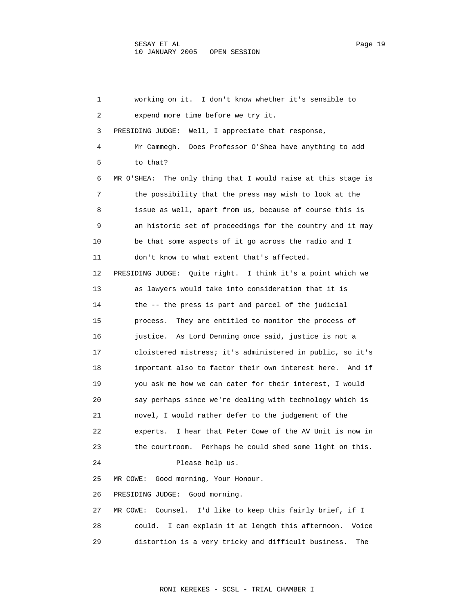1 working on it. I don't know whether it's sensible to 2 expend more time before we try it. 3 PRESIDING JUDGE: Well, I appreciate that response, 4 Mr Cammegh. Does Professor O'Shea have anything to add 5 to that? 6 MR O'SHEA: The only thing that I would raise at this stage is 7 the possibility that the press may wish to look at the 8 issue as well, apart from us, because of course this is 9 an historic set of proceedings for the country and it may 10 be that some aspects of it go across the radio and I 11 don't know to what extent that's affected. 12 PRESIDING JUDGE: Quite right. I think it's a point which we 13 as lawyers would take into consideration that it is 14 the -- the press is part and parcel of the judicial 15 process. They are entitled to monitor the process of 16 justice. As Lord Denning once said, justice is not a 17 cloistered mistress; it's administered in public, so it's 18 important also to factor their own interest here. And if 19 you ask me how we can cater for their interest, I would 20 say perhaps since we're dealing with technology which is 21 novel, I would rather defer to the judgement of the 22 experts. I hear that Peter Cowe of the AV Unit is now in 23 the courtroom. Perhaps he could shed some light on this. 24 Please help us. 25 MR COWE: Good morning, Your Honour. 26 PRESIDING JUDGE: Good morning. 27 MR COWE: Counsel. I'd like to keep this fairly brief, if I 28 could. I can explain it at length this afternoon. Voice 29 distortion is a very tricky and difficult business. The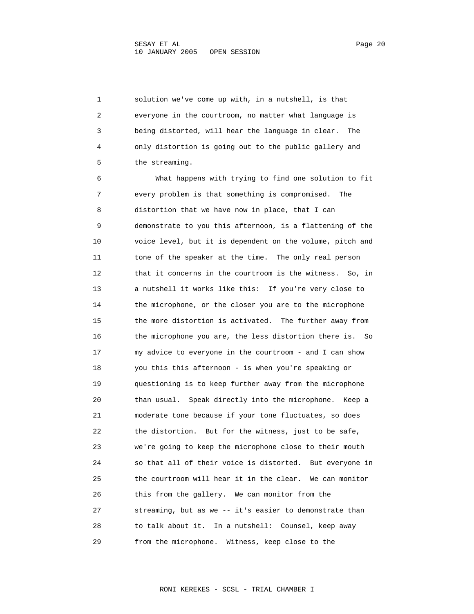1 solution we've come up with, in a nutshell, is that 2 everyone in the courtroom, no matter what language is 3 being distorted, will hear the language in clear. The 4 only distortion is going out to the public gallery and 5 the streaming.

 6 What happens with trying to find one solution to fit 7 every problem is that something is compromised. The 8 distortion that we have now in place, that I can 9 demonstrate to you this afternoon, is a flattening of the 10 voice level, but it is dependent on the volume, pitch and 11 tone of the speaker at the time. The only real person 12 that it concerns in the courtroom is the witness. So, in 13 a nutshell it works like this: If you're very close to 14 the microphone, or the closer you are to the microphone 15 the more distortion is activated. The further away from 16 the microphone you are, the less distortion there is. So 17 my advice to everyone in the courtroom - and I can show 18 you this this afternoon - is when you're speaking or 19 questioning is to keep further away from the microphone 20 than usual. Speak directly into the microphone. Keep a 21 moderate tone because if your tone fluctuates, so does 22 the distortion. But for the witness, just to be safe, 23 we're going to keep the microphone close to their mouth 24 so that all of their voice is distorted. But everyone in 25 the courtroom will hear it in the clear. We can monitor 26 this from the gallery. We can monitor from the 27 streaming, but as we -- it's easier to demonstrate than 28 to talk about it. In a nutshell: Counsel, keep away 29 from the microphone. Witness, keep close to the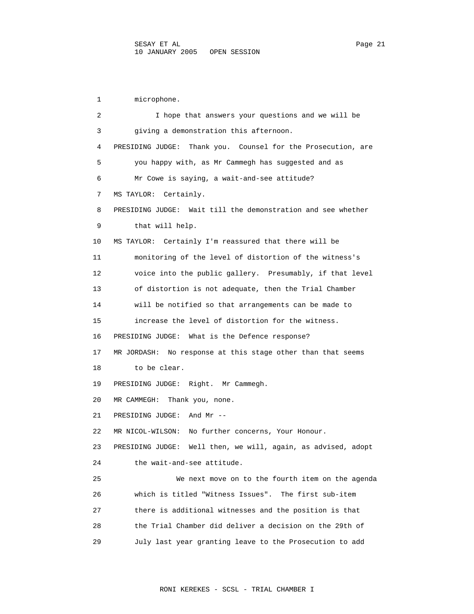1 microphone. 2 I hope that answers your questions and we will be 3 giving a demonstration this afternoon. 4 PRESIDING JUDGE: Thank you. Counsel for the Prosecution, are 5 you happy with, as Mr Cammegh has suggested and as 6 Mr Cowe is saying, a wait-and-see attitude? 7 MS TAYLOR: Certainly. 8 PRESIDING JUDGE: Wait till the demonstration and see whether 9 that will help. 10 MS TAYLOR: Certainly I'm reassured that there will be 11 monitoring of the level of distortion of the witness's 12 voice into the public gallery. Presumably, if that level 13 of distortion is not adequate, then the Trial Chamber 14 will be notified so that arrangements can be made to 15 increase the level of distortion for the witness. 16 PRESIDING JUDGE: What is the Defence response? 17 MR JORDASH: No response at this stage other than that seems 18 to be clear. 19 PRESIDING JUDGE: Right. Mr Cammegh. 20 MR CAMMEGH: Thank you, none. 21 PRESIDING JUDGE: And Mr -- 22 MR NICOL-WILSON: No further concerns, Your Honour. 23 PRESIDING JUDGE: Well then, we will, again, as advised, adopt 24 the wait-and-see attitude. 25 We next move on to the fourth item on the agenda 26 which is titled "Witness Issues". The first sub-item 27 there is additional witnesses and the position is that 28 the Trial Chamber did deliver a decision on the 29th of 29 July last year granting leave to the Prosecution to add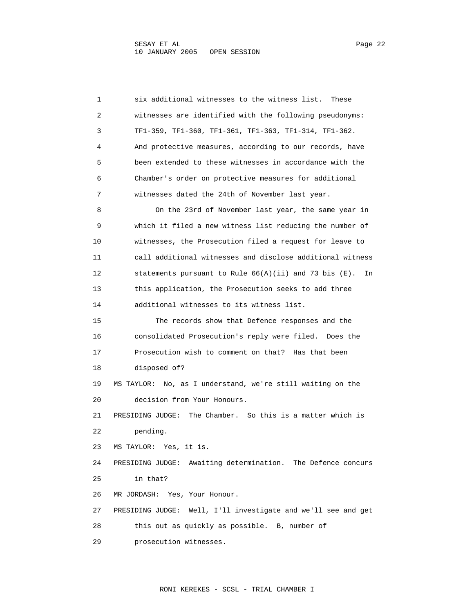1 six additional witnesses to the witness list. These 2 witnesses are identified with the following pseudonyms: 3 TF1-359, TF1-360, TF1-361, TF1-363, TF1-314, TF1-362. 4 And protective measures, according to our records, have 5 been extended to these witnesses in accordance with the 6 Chamber's order on protective measures for additional 7 witnesses dated the 24th of November last year. 8 On the 23rd of November last year, the same year in 9 which it filed a new witness list reducing the number of 10 witnesses, the Prosecution filed a request for leave to 11 call additional witnesses and disclose additional witness 12 statements pursuant to Rule 66(A)(ii) and 73 bis (E). In 13 this application, the Prosecution seeks to add three 14 additional witnesses to its witness list. 15 The records show that Defence responses and the 16 consolidated Prosecution's reply were filed. Does the 17 Prosecution wish to comment on that? Has that been 18 disposed of? 19 MS TAYLOR: No, as I understand, we're still waiting on the 20 decision from Your Honours. 21 PRESIDING JUDGE: The Chamber. So this is a matter which is 22 pending. 23 MS TAYLOR: Yes, it is. 24 PRESIDING JUDGE: Awaiting determination. The Defence concurs 25 in that? 26 MR JORDASH: Yes, Your Honour. 27 PRESIDING JUDGE: Well, I'll investigate and we'll see and get 28 this out as quickly as possible. B, number of 29 prosecution witnesses.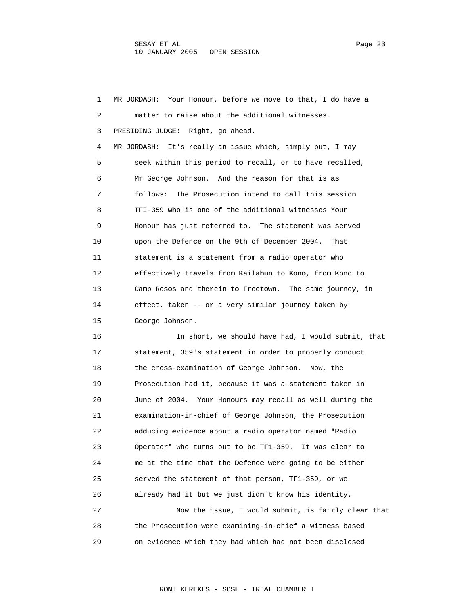1 MR JORDASH: Your Honour, before we move to that, I do have a 2 matter to raise about the additional witnesses. 3 PRESIDING JUDGE: Right, go ahead. 4 MR JORDASH: It's really an issue which, simply put, I may 5 seek within this period to recall, or to have recalled, 6 Mr George Johnson. And the reason for that is as 7 follows: The Prosecution intend to call this session 8 TFI-359 who is one of the additional witnesses Your 9 Honour has just referred to. The statement was served 10 upon the Defence on the 9th of December 2004. That 11 statement is a statement from a radio operator who 12 effectively travels from Kailahun to Kono, from Kono to 13 Camp Rosos and therein to Freetown. The same journey, in 14 effect, taken -- or a very similar journey taken by 15 George Johnson. 16 In short, we should have had, I would submit, that 17 statement, 359's statement in order to properly conduct 18 the cross-examination of George Johnson. Now, the 19 Prosecution had it, because it was a statement taken in 20 June of 2004. Your Honours may recall as well during the 21 examination-in-chief of George Johnson, the Prosecution 22 adducing evidence about a radio operator named "Radio 23 Operator" who turns out to be TF1-359. It was clear to 24 me at the time that the Defence were going to be either 25 served the statement of that person, TF1-359, or we 26 already had it but we just didn't know his identity. 27 Now the issue, I would submit, is fairly clear that 28 the Prosecution were examining-in-chief a witness based 29 on evidence which they had which had not been disclosed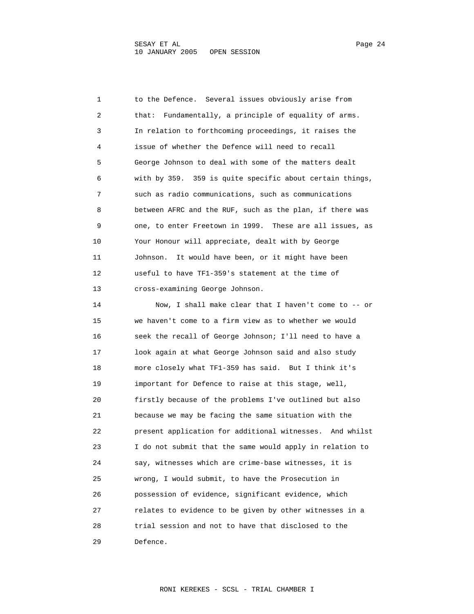1 to the Defence. Several issues obviously arise from 2 that: Fundamentally, a principle of equality of arms. 3 In relation to forthcoming proceedings, it raises the 4 issue of whether the Defence will need to recall 5 George Johnson to deal with some of the matters dealt 6 with by 359. 359 is quite specific about certain things, 7 such as radio communications, such as communications 8 between AFRC and the RUF, such as the plan, if there was 9 one, to enter Freetown in 1999. These are all issues, as 10 Your Honour will appreciate, dealt with by George 11 Johnson. It would have been, or it might have been 12 useful to have TF1-359's statement at the time of 13 cross-examining George Johnson. 14 Now, I shall make clear that I haven't come to -- or 15 we haven't come to a firm view as to whether we would 16 seek the recall of George Johnson; I'll need to have a 17 look again at what George Johnson said and also study

 19 important for Defence to raise at this stage, well, 20 firstly because of the problems I've outlined but also 21 because we may be facing the same situation with the 22 present application for additional witnesses. And whilst 23 I do not submit that the same would apply in relation to 24 say, witnesses which are crime-base witnesses, it is 25 wrong, I would submit, to have the Prosecution in 26 possession of evidence, significant evidence, which 27 relates to evidence to be given by other witnesses in a 28 trial session and not to have that disclosed to the 29 Defence.

18 more closely what TF1-359 has said. But I think it's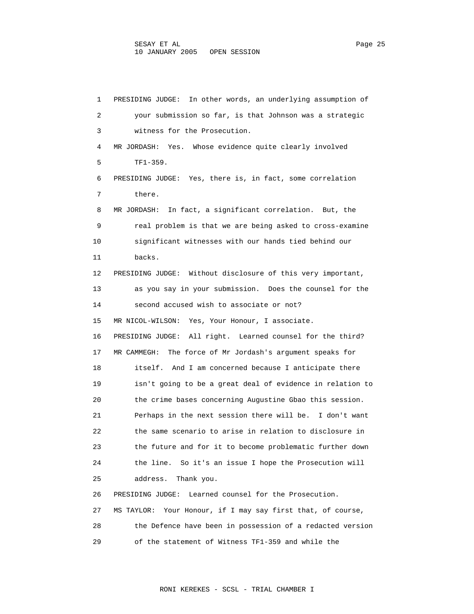1 PRESIDING JUDGE: In other words, an underlying assumption of 2 your submission so far, is that Johnson was a strategic 3 witness for the Prosecution. 4 MR JORDASH: Yes. Whose evidence quite clearly involved 5 TF1-359. 6 PRESIDING JUDGE: Yes, there is, in fact, some correlation 7 there. 8 MR JORDASH: In fact, a significant correlation. But, the 9 real problem is that we are being asked to cross-examine 10 significant witnesses with our hands tied behind our 11 backs. 12 PRESIDING JUDGE: Without disclosure of this very important, 13 as you say in your submission. Does the counsel for the 14 second accused wish to associate or not? 15 MR NICOL-WILSON: Yes, Your Honour, I associate. 16 PRESIDING JUDGE: All right. Learned counsel for the third? 17 MR CAMMEGH: The force of Mr Jordash's argument speaks for 18 itself. And I am concerned because I anticipate there 19 isn't going to be a great deal of evidence in relation to 20 the crime bases concerning Augustine Gbao this session. 21 Perhaps in the next session there will be. I don't want 22 the same scenario to arise in relation to disclosure in 23 the future and for it to become problematic further down 24 the line. So it's an issue I hope the Prosecution will 25 address. Thank you. 26 PRESIDING JUDGE: Learned counsel for the Prosecution. 27 MS TAYLOR: Your Honour, if I may say first that, of course, 28 the Defence have been in possession of a redacted version 29 of the statement of Witness TF1-359 and while the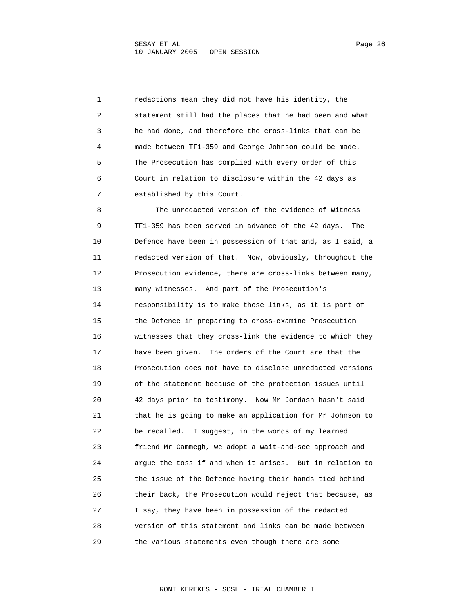1 redactions mean they did not have his identity, the 2 statement still had the places that he had been and what 3 he had done, and therefore the cross-links that can be 4 made between TF1-359 and George Johnson could be made. 5 The Prosecution has complied with every order of this 6 Court in relation to disclosure within the 42 days as 7 established by this Court.

 8 The unredacted version of the evidence of Witness 9 TF1-359 has been served in advance of the 42 days. The 10 Defence have been in possession of that and, as I said, a 11 redacted version of that. Now, obviously, throughout the 12 Prosecution evidence, there are cross-links between many, 13 many witnesses. And part of the Prosecution's 14 responsibility is to make those links, as it is part of 15 the Defence in preparing to cross-examine Prosecution 16 witnesses that they cross-link the evidence to which they 17 have been given. The orders of the Court are that the 18 Prosecution does not have to disclose unredacted versions 19 of the statement because of the protection issues until 20 42 days prior to testimony. Now Mr Jordash hasn't said 21 that he is going to make an application for Mr Johnson to 22 be recalled. I suggest, in the words of my learned 23 friend Mr Cammegh, we adopt a wait-and-see approach and 24 argue the toss if and when it arises. But in relation to 25 the issue of the Defence having their hands tied behind 26 their back, the Prosecution would reject that because, as 27 I say, they have been in possession of the redacted 28 version of this statement and links can be made between 29 the various statements even though there are some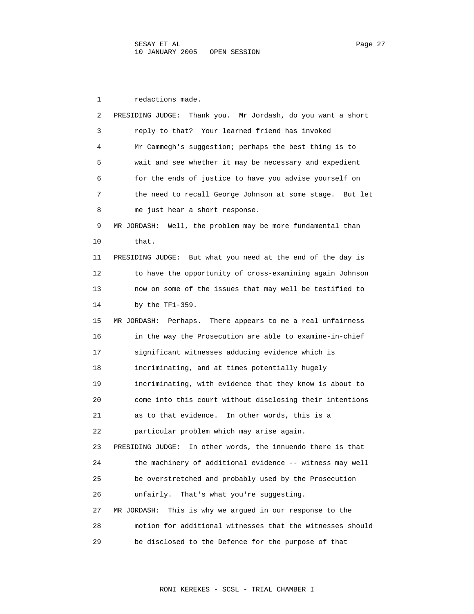1 redactions made. 2 PRESIDING JUDGE: Thank you. Mr Jordash, do you want a short 3 reply to that? Your learned friend has invoked 4 Mr Cammegh's suggestion; perhaps the best thing is to 5 wait and see whether it may be necessary and expedient 6 for the ends of justice to have you advise yourself on 7 the need to recall George Johnson at some stage. But let 8 me just hear a short response. 9 MR JORDASH: Well, the problem may be more fundamental than 10 that. 11 PRESIDING JUDGE: But what you need at the end of the day is 12 to have the opportunity of cross-examining again Johnson 13 now on some of the issues that may well be testified to 14 by the TF1-359. 15 MR JORDASH: Perhaps. There appears to me a real unfairness 16 in the way the Prosecution are able to examine-in-chief 17 significant witnesses adducing evidence which is 18 incriminating, and at times potentially hugely 19 incriminating, with evidence that they know is about to 20 come into this court without disclosing their intentions 21 as to that evidence. In other words, this is a 22 particular problem which may arise again. 23 PRESIDING JUDGE: In other words, the innuendo there is that 24 the machinery of additional evidence -- witness may well 25 be overstretched and probably used by the Prosecution 26 unfairly. That's what you're suggesting. 27 MR JORDASH: This is why we argued in our response to the 28 motion for additional witnesses that the witnesses should 29 be disclosed to the Defence for the purpose of that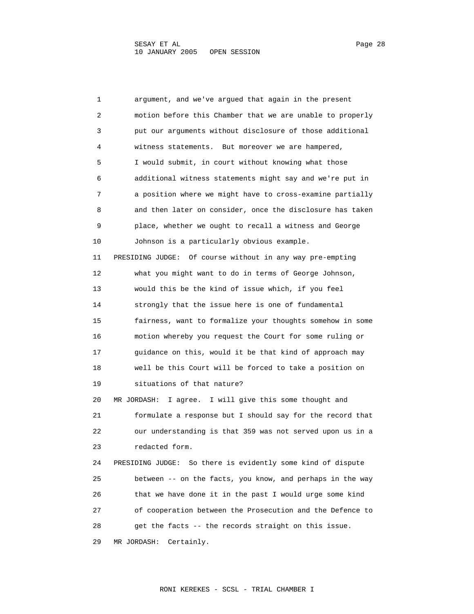1 argument, and we've argued that again in the present 2 motion before this Chamber that we are unable to properly 3 put our arguments without disclosure of those additional 4 witness statements. But moreover we are hampered, 5 I would submit, in court without knowing what those 6 additional witness statements might say and we're put in 7 a position where we might have to cross-examine partially 8 and then later on consider, once the disclosure has taken 9 place, whether we ought to recall a witness and George 10 Johnson is a particularly obvious example. 11 PRESIDING JUDGE: Of course without in any way pre-empting 12 what you might want to do in terms of George Johnson, 13 would this be the kind of issue which, if you feel 14 strongly that the issue here is one of fundamental 15 fairness, want to formalize your thoughts somehow in some 16 motion whereby you request the Court for some ruling or 17 guidance on this, would it be that kind of approach may 18 well be this Court will be forced to take a position on 19 situations of that nature? 20 MR JORDASH: I agree. I will give this some thought and 21 formulate a response but I should say for the record that 22 our understanding is that 359 was not served upon us in a 23 redacted form. 24 PRESIDING JUDGE: So there is evidently some kind of dispute 25 between -- on the facts, you know, and perhaps in the way 26 that we have done it in the past I would urge some kind 27 of cooperation between the Prosecution and the Defence to 28 get the facts -- the records straight on this issue. 29 MR JORDASH: Certainly.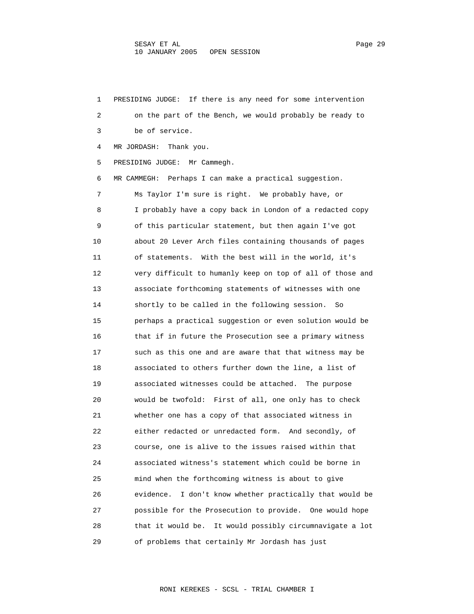1 PRESIDING JUDGE: If there is any need for some intervention 2 on the part of the Bench, we would probably be ready to 3 be of service. 4 MR JORDASH: Thank you. 5 PRESIDING JUDGE: Mr Cammegh. 6 MR CAMMEGH: Perhaps I can make a practical suggestion. 7 Ms Taylor I'm sure is right. We probably have, or 8 I probably have a copy back in London of a redacted copy 9 of this particular statement, but then again I've got 10 about 20 Lever Arch files containing thousands of pages 11 of statements. With the best will in the world, it's 12 very difficult to humanly keep on top of all of those and 13 associate forthcoming statements of witnesses with one 14 shortly to be called in the following session. So 15 perhaps a practical suggestion or even solution would be 16 that if in future the Prosecution see a primary witness 17 such as this one and are aware that that witness may be 18 associated to others further down the line, a list of 19 associated witnesses could be attached. The purpose 20 would be twofold: First of all, one only has to check 21 whether one has a copy of that associated witness in 22 either redacted or unredacted form. And secondly, of 23 course, one is alive to the issues raised within that 24 associated witness's statement which could be borne in 25 mind when the forthcoming witness is about to give 26 evidence. I don't know whether practically that would be 27 possible for the Prosecution to provide. One would hope 28 that it would be. It would possibly circumnavigate a lot 29 of problems that certainly Mr Jordash has just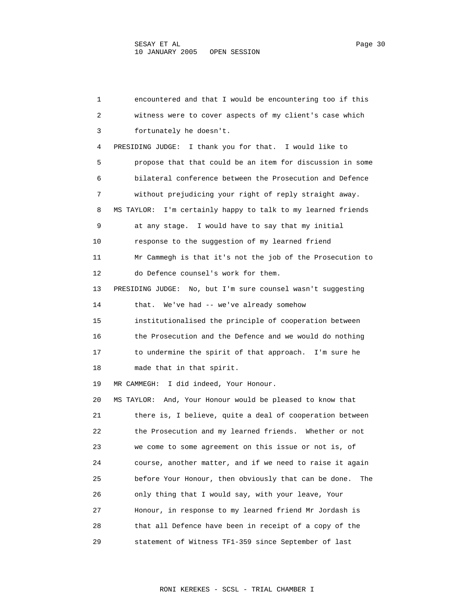1 encountered and that I would be encountering too if this 2 witness were to cover aspects of my client's case which 3 fortunately he doesn't. 4 PRESIDING JUDGE: I thank you for that. I would like to 5 propose that that could be an item for discussion in some 6 bilateral conference between the Prosecution and Defence 7 without prejudicing your right of reply straight away. 8 MS TAYLOR: I'm certainly happy to talk to my learned friends 9 at any stage. I would have to say that my initial 10 response to the suggestion of my learned friend 11 Mr Cammegh is that it's not the job of the Prosecution to 12 do Defence counsel's work for them. 13 PRESIDING JUDGE: No, but I'm sure counsel wasn't suggesting 14 that. We've had -- we've already somehow 15 institutionalised the principle of cooperation between 16 the Prosecution and the Defence and we would do nothing 17 to undermine the spirit of that approach. I'm sure he 18 made that in that spirit. 19 MR CAMMEGH: I did indeed, Your Honour. 20 MS TAYLOR: And, Your Honour would be pleased to know that 21 there is, I believe, quite a deal of cooperation between 22 the Prosecution and my learned friends. Whether or not 23 we come to some agreement on this issue or not is, of 24 course, another matter, and if we need to raise it again 25 before Your Honour, then obviously that can be done. The 26 only thing that I would say, with your leave, Your 27 Honour, in response to my learned friend Mr Jordash is 28 that all Defence have been in receipt of a copy of the 29 statement of Witness TF1-359 since September of last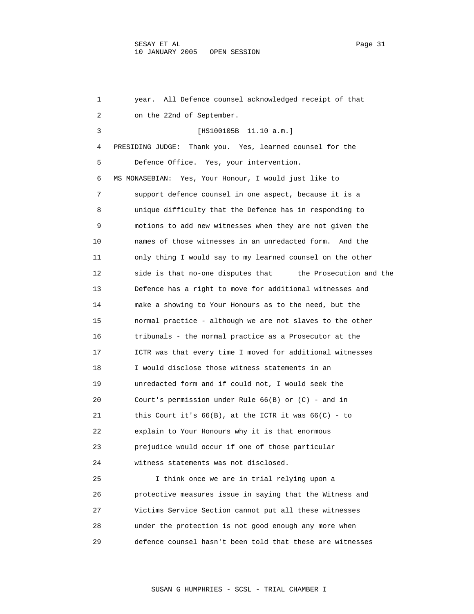1 year. All Defence counsel acknowledged receipt of that 2 on the 22nd of September. 3 [HS100105B 11.10 a.m.] 4 PRESIDING JUDGE: Thank you. Yes, learned counsel for the 5 Defence Office. Yes, your intervention. 6 MS MONASEBIAN: Yes, Your Honour, I would just like to 7 support defence counsel in one aspect, because it is a 8 unique difficulty that the Defence has in responding to 9 motions to add new witnesses when they are not given the 10 names of those witnesses in an unredacted form. And the 11 only thing I would say to my learned counsel on the other 12 side is that no-one disputes that the Prosecution and the 13 Defence has a right to move for additional witnesses and 14 make a showing to Your Honours as to the need, but the 15 normal practice - although we are not slaves to the other 16 tribunals - the normal practice as a Prosecutor at the 17 ICTR was that every time I moved for additional witnesses 18 I would disclose those witness statements in an 19 unredacted form and if could not, I would seek the 20 Court's permission under Rule 66(B) or (C) - and in 21 this Court it's 66(B), at the ICTR it was 66(C) - to 22 explain to Your Honours why it is that enormous 23 prejudice would occur if one of those particular 24 witness statements was not disclosed. 25 I think once we are in trial relying upon a 26 protective measures issue in saying that the Witness and 27 Victims Service Section cannot put all these witnesses 28 under the protection is not good enough any more when

29 defence counsel hasn't been told that these are witnesses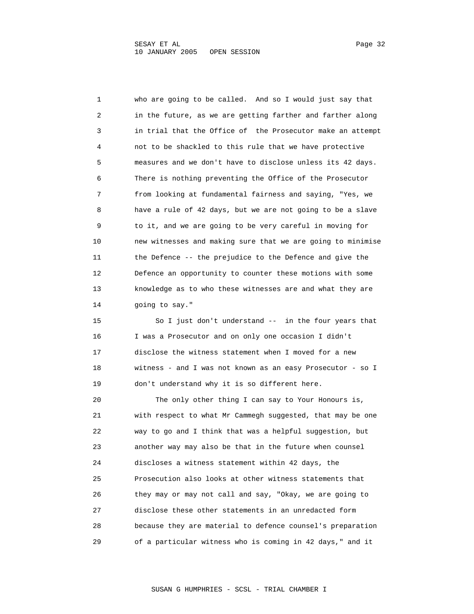1 who are going to be called. And so I would just say that 2 in the future, as we are getting farther and farther along 3 in trial that the Office of the Prosecutor make an attempt 4 not to be shackled to this rule that we have protective 5 measures and we don't have to disclose unless its 42 days. 6 There is nothing preventing the Office of the Prosecutor 7 from looking at fundamental fairness and saying, "Yes, we 8 have a rule of 42 days, but we are not going to be a slave 9 to it, and we are going to be very careful in moving for 10 new witnesses and making sure that we are going to minimise 11 the Defence -- the prejudice to the Defence and give the 12 Defence an opportunity to counter these motions with some 13 knowledge as to who these witnesses are and what they are 14 going to say." 15 So I just don't understand -- in the four years that

 16 I was a Prosecutor and on only one occasion I didn't 17 disclose the witness statement when I moved for a new 18 witness - and I was not known as an easy Prosecutor - so I 19 don't understand why it is so different here.

 20 The only other thing I can say to Your Honours is, 21 with respect to what Mr Cammegh suggested, that may be one 22 way to go and I think that was a helpful suggestion, but 23 another way may also be that in the future when counsel 24 discloses a witness statement within 42 days, the 25 Prosecution also looks at other witness statements that 26 they may or may not call and say, "Okay, we are going to 27 disclose these other statements in an unredacted form 28 because they are material to defence counsel's preparation 29 of a particular witness who is coming in 42 days," and it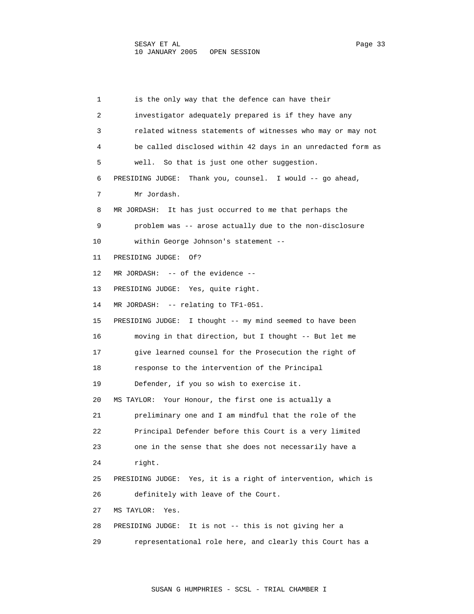1 is the only way that the defence can have their 2 investigator adequately prepared is if they have any 3 related witness statements of witnesses who may or may not 4 be called disclosed within 42 days in an unredacted form as 5 well. So that is just one other suggestion. 6 PRESIDING JUDGE: Thank you, counsel. I would -- go ahead, 7 Mr Jordash. 8 MR JORDASH: It has just occurred to me that perhaps the 9 problem was -- arose actually due to the non-disclosure 10 within George Johnson's statement -- 11 PRESIDING JUDGE: Of? 12 MR JORDASH: -- of the evidence -- 13 PRESIDING JUDGE: Yes, quite right. 14 MR JORDASH: -- relating to TF1-051. 15 PRESIDING JUDGE: I thought -- my mind seemed to have been 16 moving in that direction, but I thought -- But let me 17 give learned counsel for the Prosecution the right of 18 response to the intervention of the Principal 19 Defender, if you so wish to exercise it. 20 MS TAYLOR: Your Honour, the first one is actually a 21 preliminary one and I am mindful that the role of the 22 Principal Defender before this Court is a very limited 23 one in the sense that she does not necessarily have a 24 right. 25 PRESIDING JUDGE: Yes, it is a right of intervention, which is 26 definitely with leave of the Court. 27 MS TAYLOR: Yes. 28 PRESIDING JUDGE: It is not -- this is not giving her a 29 representational role here, and clearly this Court has a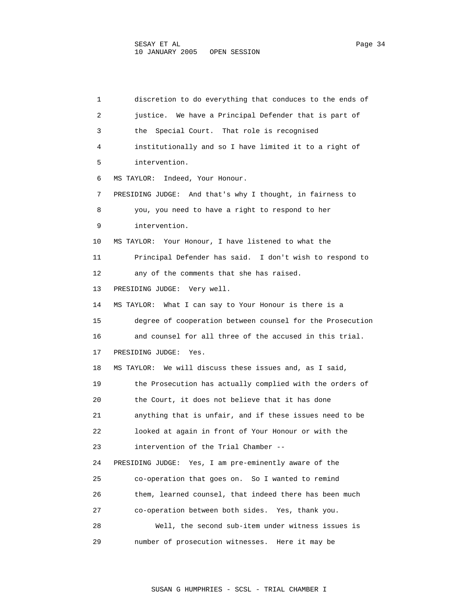1 discretion to do everything that conduces to the ends of 2 justice. We have a Principal Defender that is part of 3 the Special Court. That role is recognised 4 institutionally and so I have limited it to a right of 5 intervention. 6 MS TAYLOR: Indeed, Your Honour. 7 PRESIDING JUDGE: And that's why I thought, in fairness to 8 you, you need to have a right to respond to her 9 intervention. 10 MS TAYLOR: Your Honour, I have listened to what the 11 Principal Defender has said. I don't wish to respond to 12 any of the comments that she has raised. 13 PRESIDING JUDGE: Very well. 14 MS TAYLOR: What I can say to Your Honour is there is a 15 degree of cooperation between counsel for the Prosecution 16 and counsel for all three of the accused in this trial. 17 PRESIDING JUDGE: Yes. 18 MS TAYLOR: We will discuss these issues and, as I said, 19 the Prosecution has actually complied with the orders of 20 the Court, it does not believe that it has done 21 anything that is unfair, and if these issues need to be 22 looked at again in front of Your Honour or with the 23 intervention of the Trial Chamber -- 24 PRESIDING JUDGE: Yes, I am pre-eminently aware of the 25 co-operation that goes on. So I wanted to remind 26 them, learned counsel, that indeed there has been much 27 co-operation between both sides. Yes, thank you. 28 Well, the second sub-item under witness issues is 29 number of prosecution witnesses. Here it may be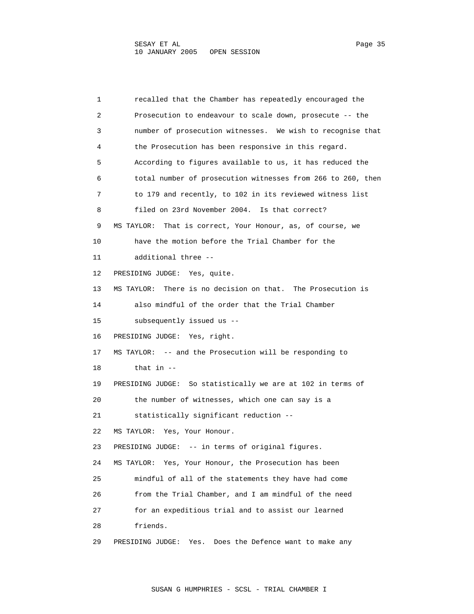1 recalled that the Chamber has repeatedly encouraged the 2 Prosecution to endeavour to scale down, prosecute -- the 3 number of prosecution witnesses. We wish to recognise that 4 the Prosecution has been responsive in this regard. 5 According to figures available to us, it has reduced the 6 total number of prosecution witnesses from 266 to 260, then 7 to 179 and recently, to 102 in its reviewed witness list 8 filed on 23rd November 2004. Is that correct? 9 MS TAYLOR: That is correct, Your Honour, as, of course, we 10 have the motion before the Trial Chamber for the 11 additional three -- 12 PRESIDING JUDGE: Yes, quite. 13 MS TAYLOR: There is no decision on that. The Prosecution is 14 also mindful of the order that the Trial Chamber 15 subsequently issued us -- 16 PRESIDING JUDGE: Yes, right. 17 MS TAYLOR: -- and the Prosecution will be responding to 18 that in -- 19 PRESIDING JUDGE: So statistically we are at 102 in terms of 20 the number of witnesses, which one can say is a 21 statistically significant reduction -- 22 MS TAYLOR: Yes, Your Honour. 23 PRESIDING JUDGE: -- in terms of original figures. 24 MS TAYLOR: Yes, Your Honour, the Prosecution has been 25 mindful of all of the statements they have had come 26 from the Trial Chamber, and I am mindful of the need 27 for an expeditious trial and to assist our learned 28 friends. 29 PRESIDING JUDGE: Yes. Does the Defence want to make any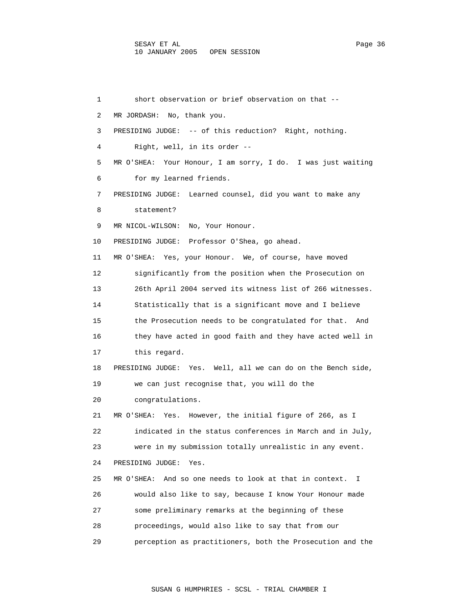1 short observation or brief observation on that -- 2 MR JORDASH: No, thank you. 3 PRESIDING JUDGE: -- of this reduction? Right, nothing. 4 Right, well, in its order -- 5 MR O'SHEA: Your Honour, I am sorry, I do. I was just waiting 6 for my learned friends. 7 PRESIDING JUDGE: Learned counsel, did you want to make any 8 statement? 9 MR NICOL-WILSON: No, Your Honour. 10 PRESIDING JUDGE: Professor O'Shea, go ahead. 11 MR O'SHEA: Yes, your Honour. We, of course, have moved 12 significantly from the position when the Prosecution on 13 26th April 2004 served its witness list of 266 witnesses. 14 Statistically that is a significant move and I believe 15 the Prosecution needs to be congratulated for that. And 16 they have acted in good faith and they have acted well in 17 this regard. 18 PRESIDING JUDGE: Yes. Well, all we can do on the Bench side, 19 we can just recognise that, you will do the 20 congratulations. 21 MR O'SHEA: Yes. However, the initial figure of 266, as I 22 indicated in the status conferences in March and in July, 23 were in my submission totally unrealistic in any event. 24 PRESIDING JUDGE: Yes. 25 MR O'SHEA: And so one needs to look at that in context. I 26 would also like to say, because I know Your Honour made 27 some preliminary remarks at the beginning of these 28 proceedings, would also like to say that from our 29 perception as practitioners, both the Prosecution and the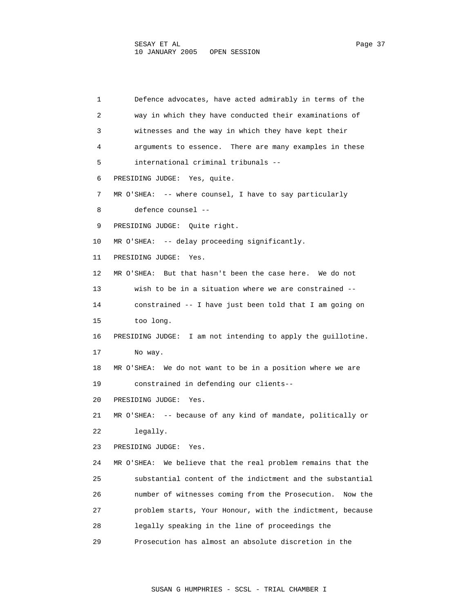1 Defence advocates, have acted admirably in terms of the 2 way in which they have conducted their examinations of 3 witnesses and the way in which they have kept their 4 arguments to essence. There are many examples in these 5 international criminal tribunals -- 6 PRESIDING JUDGE: Yes, quite. 7 MR O'SHEA: -- where counsel, I have to say particularly 8 defence counsel -- 9 PRESIDING JUDGE: Quite right. 10 MR O'SHEA: -- delay proceeding significantly. 11 PRESIDING JUDGE: Yes. 12 MR O'SHEA: But that hasn't been the case here. We do not 13 wish to be in a situation where we are constrained -- 14 constrained -- I have just been told that I am going on 15 too long. 16 PRESIDING JUDGE: I am not intending to apply the guillotine. 17 No way. 18 MR O'SHEA: We do not want to be in a position where we are 19 constrained in defending our clients-- 20 PRESIDING JUDGE: Yes. 21 MR O'SHEA: -- because of any kind of mandate, politically or 22 legally. 23 PRESIDING JUDGE: Yes. 24 MR O'SHEA: We believe that the real problem remains that the 25 substantial content of the indictment and the substantial 26 number of witnesses coming from the Prosecution. Now the 27 problem starts, Your Honour, with the indictment, because 28 legally speaking in the line of proceedings the 29 Prosecution has almost an absolute discretion in the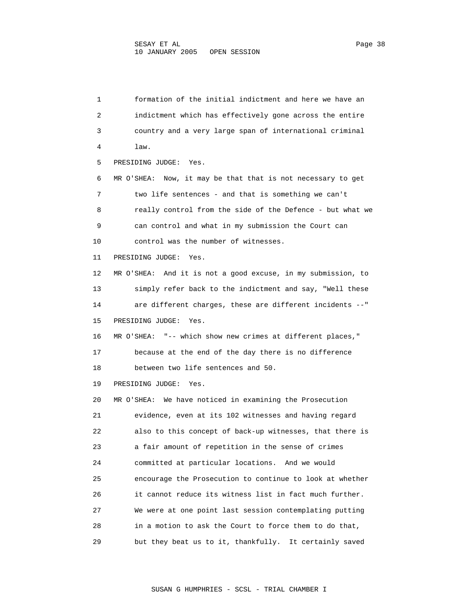1 formation of the initial indictment and here we have an 2 indictment which has effectively gone across the entire 3 country and a very large span of international criminal 4 law. 5 PRESIDING JUDGE: Yes. 6 MR O'SHEA: Now, it may be that that is not necessary to get 7 two life sentences - and that is something we can't 8 really control from the side of the Defence - but what we 9 can control and what in my submission the Court can 10 control was the number of witnesses. 11 PRESIDING JUDGE: Yes. 12 MR O'SHEA: And it is not a good excuse, in my submission, to 13 simply refer back to the indictment and say, "Well these 14 are different charges, these are different incidents --" 15 PRESIDING JUDGE: Yes. 16 MR O'SHEA: "-- which show new crimes at different places," 17 because at the end of the day there is no difference 18 between two life sentences and 50. 19 PRESIDING JUDGE: Yes. 20 MR O'SHEA: We have noticed in examining the Prosecution 21 evidence, even at its 102 witnesses and having regard 22 also to this concept of back-up witnesses, that there is 23 a fair amount of repetition in the sense of crimes 24 committed at particular locations. And we would 25 encourage the Prosecution to continue to look at whether 26 it cannot reduce its witness list in fact much further. 27 We were at one point last session contemplating putting 28 in a motion to ask the Court to force them to do that, 29 but they beat us to it, thankfully. It certainly saved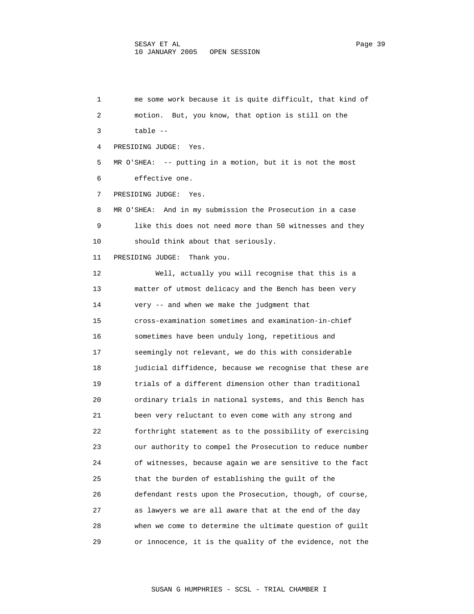1 me some work because it is quite difficult, that kind of 2 motion. But, you know, that option is still on the 3 table -- 4 PRESIDING JUDGE: Yes. 5 MR O'SHEA: -- putting in a motion, but it is not the most 6 effective one. 7 PRESIDING JUDGE: Yes. 8 MR O'SHEA: And in my submission the Prosecution in a case 9 like this does not need more than 50 witnesses and they 10 should think about that seriously. 11 PRESIDING JUDGE: Thank you. 12 Well, actually you will recognise that this is a 13 matter of utmost delicacy and the Bench has been very 14 very -- and when we make the judgment that 15 cross-examination sometimes and examination-in-chief 16 sometimes have been unduly long, repetitious and 17 seemingly not relevant, we do this with considerable 18 judicial diffidence, because we recognise that these are 19 trials of a different dimension other than traditional 20 ordinary trials in national systems, and this Bench has 21 been very reluctant to even come with any strong and 22 forthright statement as to the possibility of exercising 23 our authority to compel the Prosecution to reduce number 24 of witnesses, because again we are sensitive to the fact 25 that the burden of establishing the guilt of the 26 defendant rests upon the Prosecution, though, of course, 27 as lawyers we are all aware that at the end of the day 28 when we come to determine the ultimate question of guilt 29 or innocence, it is the quality of the evidence, not the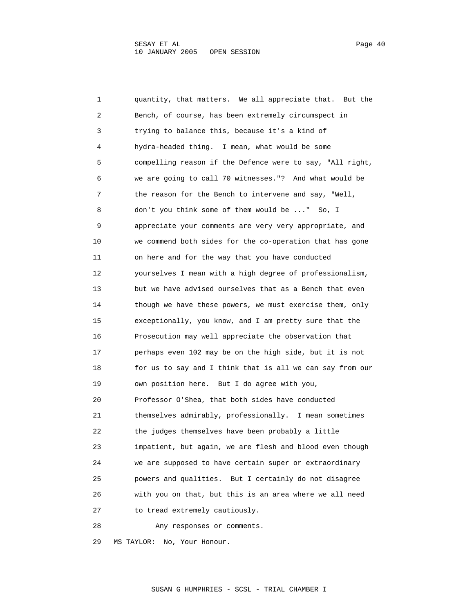1 quantity, that matters. We all appreciate that. But the 2 Bench, of course, has been extremely circumspect in 3 trying to balance this, because it's a kind of 4 hydra-headed thing. I mean, what would be some 5 compelling reason if the Defence were to say, "All right, 6 we are going to call 70 witnesses."? And what would be 7 the reason for the Bench to intervene and say, "Well, 8 don't you think some of them would be ..." So, I 9 appreciate your comments are very very appropriate, and 10 we commend both sides for the co-operation that has gone 11 on here and for the way that you have conducted 12 yourselves I mean with a high degree of professionalism, 13 but we have advised ourselves that as a Bench that even 14 though we have these powers, we must exercise them, only 15 exceptionally, you know, and I am pretty sure that the 16 Prosecution may well appreciate the observation that 17 perhaps even 102 may be on the high side, but it is not 18 for us to say and I think that is all we can say from our 19 own position here. But I do agree with you, 20 Professor O'Shea, that both sides have conducted 21 themselves admirably, professionally. I mean sometimes 22 the judges themselves have been probably a little 23 impatient, but again, we are flesh and blood even though 24 we are supposed to have certain super or extraordinary 25 powers and qualities. But I certainly do not disagree 26 with you on that, but this is an area where we all need 27 to tread extremely cautiously. 28 Any responses or comments.

29 MS TAYLOR: No, Your Honour.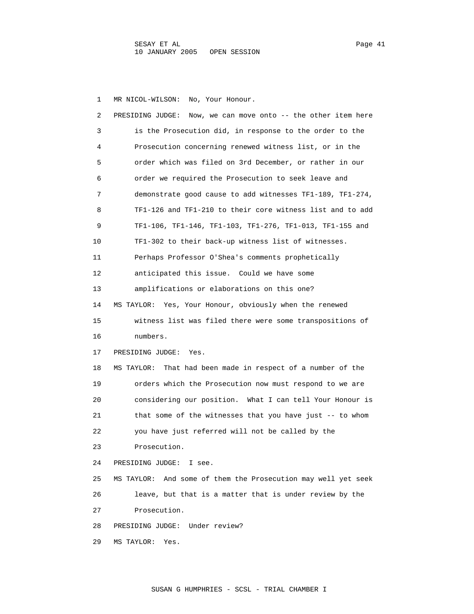1 MR NICOL-WILSON: No, Your Honour.

| 2  | PRESIDING JUDGE: Now, we can move onto $-$ the other item here   |
|----|------------------------------------------------------------------|
| 3  | is the Prosecution did, in response to the order to the          |
| 4  | Prosecution concerning renewed witness list, or in the           |
| 5  | order which was filed on 3rd December, or rather in our          |
| 6  | order we required the Prosecution to seek leave and              |
| 7  | demonstrate good cause to add witnesses TF1-189, TF1-274,        |
| 8  | TF1-126 and TF1-210 to their core witness list and to add        |
| 9  | TF1-106, TF1-146, TF1-103, TF1-276, TF1-013, TF1-155 and         |
| 10 | TF1-302 to their back-up witness list of witnesses.              |
| 11 | Perhaps Professor O'Shea's comments prophetically                |
| 12 | anticipated this issue. Could we have some                       |
| 13 | amplifications or elaborations on this one?                      |
| 14 | MS TAYLOR: Yes, Your Honour, obviously when the renewed          |
| 15 | witness list was filed there were some transpositions of         |
| 16 | numbers.                                                         |
| 17 | PRESIDING JUDGE:<br>Yes.                                         |
| 18 | MS TAYLOR:<br>That had been made in respect of a number of the   |
| 19 | orders which the Prosecution now must respond to we are          |
| 20 | considering our position. What I can tell Your Honour is         |
| 21 | that some of the witnesses that you have just -- to whom         |
| 22 | you have just referred will not be called by the                 |
| 23 | Prosecution.                                                     |
| 24 | PRESIDING JUDGE:<br>I see.                                       |
| 25 | And some of them the Prosecution may well yet seek<br>MS TAYLOR: |
| 26 | leave, but that is a matter that is under review by the          |
| 27 | Prosecution.                                                     |
| 28 | Under review?<br>PRESIDING JUDGE:                                |
| 29 | MS TAYLOR:<br>Yes.                                               |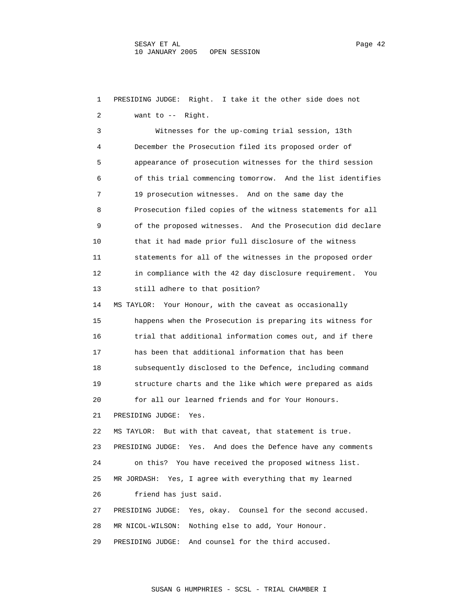1 PRESIDING JUDGE: Right. I take it the other side does not 2 want to -- Right. 3 Witnesses for the up-coming trial session, 13th 4 December the Prosecution filed its proposed order of 5 appearance of prosecution witnesses for the third session 6 of this trial commencing tomorrow. And the list identifies 7 19 prosecution witnesses. And on the same day the 8 Prosecution filed copies of the witness statements for all 9 of the proposed witnesses. And the Prosecution did declare 10 that it had made prior full disclosure of the witness 11 statements for all of the witnesses in the proposed order 12 in compliance with the 42 day disclosure requirement. You 13 still adhere to that position? 14 MS TAYLOR: Your Honour, with the caveat as occasionally 15 happens when the Prosecution is preparing its witness for 16 trial that additional information comes out, and if there 17 has been that additional information that has been 18 subsequently disclosed to the Defence, including command 19 structure charts and the like which were prepared as aids 20 for all our learned friends and for Your Honours. 21 PRESIDING JUDGE: Yes. 22 MS TAYLOR: But with that caveat, that statement is true. 23 PRESIDING JUDGE: Yes. And does the Defence have any comments 24 on this? You have received the proposed witness list. 25 MR JORDASH: Yes, I agree with everything that my learned 26 friend has just said. 27 PRESIDING JUDGE: Yes, okay. Counsel for the second accused. 28 MR NICOL-WILSON: Nothing else to add, Your Honour. 29 PRESIDING JUDGE: And counsel for the third accused.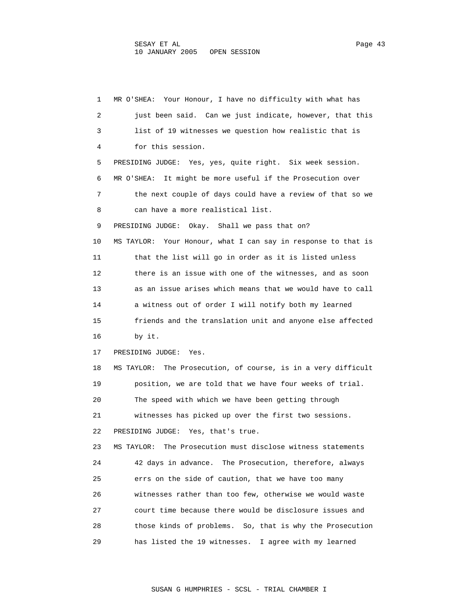1 MR O'SHEA: Your Honour, I have no difficulty with what has 2 just been said. Can we just indicate, however, that this 3 list of 19 witnesses we question how realistic that is 4 for this session. 5 PRESIDING JUDGE: Yes, yes, quite right. Six week session. 6 MR O'SHEA: It might be more useful if the Prosecution over 7 the next couple of days could have a review of that so we 8 can have a more realistical list. 9 PRESIDING JUDGE: Okay. Shall we pass that on? 10 MS TAYLOR: Your Honour, what I can say in response to that is 11 that the list will go in order as it is listed unless 12 there is an issue with one of the witnesses, and as soon 13 as an issue arises which means that we would have to call 14 a witness out of order I will notify both my learned 15 friends and the translation unit and anyone else affected 16 by it. 17 PRESIDING JUDGE: Yes. 18 MS TAYLOR: The Prosecution, of course, is in a very difficult 19 position, we are told that we have four weeks of trial. 20 The speed with which we have been getting through 21 witnesses has picked up over the first two sessions. 22 PRESIDING JUDGE: Yes, that's true. 23 MS TAYLOR: The Prosecution must disclose witness statements 24 42 days in advance. The Prosecution, therefore, always 25 errs on the side of caution, that we have too many 26 witnesses rather than too few, otherwise we would waste 27 court time because there would be disclosure issues and 28 those kinds of problems. So, that is why the Prosecution 29 has listed the 19 witnesses. I agree with my learned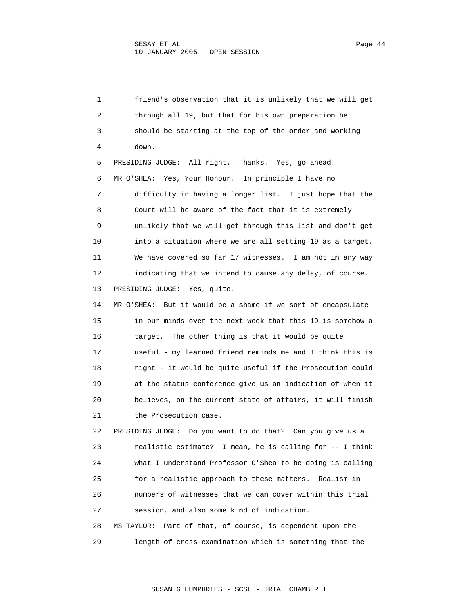1 friend's observation that it is unlikely that we will get 2 through all 19, but that for his own preparation he 3 should be starting at the top of the order and working 4 down. 5 PRESIDING JUDGE: All right. Thanks. Yes, go ahead. 6 MR O'SHEA: Yes, Your Honour. In principle I have no 7 difficulty in having a longer list. I just hope that the 8 Court will be aware of the fact that it is extremely 9 unlikely that we will get through this list and don't get 10 into a situation where we are all setting 19 as a target. 11 We have covered so far 17 witnesses. I am not in any way 12 indicating that we intend to cause any delay, of course. 13 PRESIDING JUDGE: Yes, quite. 14 MR O'SHEA: But it would be a shame if we sort of encapsulate 15 in our minds over the next week that this 19 is somehow a 16 target. The other thing is that it would be quite 17 useful - my learned friend reminds me and I think this is 18 right - it would be quite useful if the Prosecution could 19 at the status conference give us an indication of when it 20 believes, on the current state of affairs, it will finish 21 the Prosecution case. 22 PRESIDING JUDGE: Do you want to do that? Can you give us a 23 realistic estimate? I mean, he is calling for -- I think 24 what I understand Professor O'Shea to be doing is calling 25 for a realistic approach to these matters. Realism in 26 numbers of witnesses that we can cover within this trial 27 session, and also some kind of indication. 28 MS TAYLOR: Part of that, of course, is dependent upon the 29 length of cross-examination which is something that the

SUSAN G HUMPHRIES - SCSL - TRIAL CHAMBER I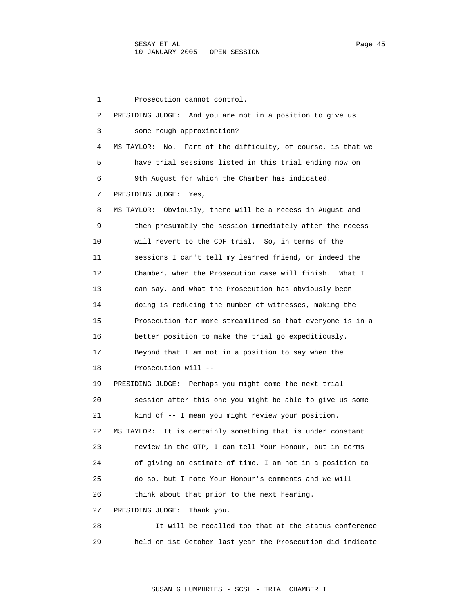1 Prosecution cannot control. 2 PRESIDING JUDGE: And you are not in a position to give us 3 some rough approximation? 4 MS TAYLOR: No. Part of the difficulty, of course, is that we 5 have trial sessions listed in this trial ending now on 6 9th August for which the Chamber has indicated. 7 PRESIDING JUDGE: Yes, 8 MS TAYLOR: Obviously, there will be a recess in August and 9 then presumably the session immediately after the recess 10 will revert to the CDF trial. So, in terms of the 11 sessions I can't tell my learned friend, or indeed the 12 Chamber, when the Prosecution case will finish. What I 13 can say, and what the Prosecution has obviously been 14 doing is reducing the number of witnesses, making the 15 Prosecution far more streamlined so that everyone is in a 16 better position to make the trial go expeditiously. 17 Beyond that I am not in a position to say when the 18 Prosecution will -- 19 PRESIDING JUDGE: Perhaps you might come the next trial 20 session after this one you might be able to give us some 21 kind of -- I mean you might review your position. 22 MS TAYLOR: It is certainly something that is under constant 23 review in the OTP, I can tell Your Honour, but in terms 24 of giving an estimate of time, I am not in a position to 25 do so, but I note Your Honour's comments and we will 26 think about that prior to the next hearing. 27 PRESIDING JUDGE: Thank you. 28 It will be recalled too that at the status conference

29 held on 1st October last year the Prosecution did indicate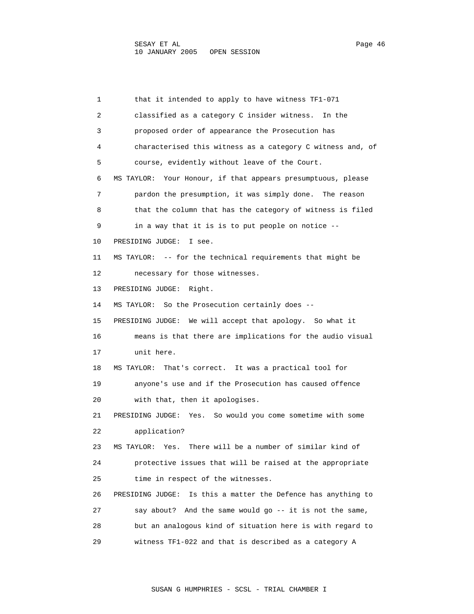1 that it intended to apply to have witness TF1-071 2 classified as a category C insider witness. In the 3 proposed order of appearance the Prosecution has 4 characterised this witness as a category C witness and, of 5 course, evidently without leave of the Court. 6 MS TAYLOR: Your Honour, if that appears presumptuous, please 7 pardon the presumption, it was simply done. The reason 8 that the column that has the category of witness is filed 9 in a way that it is is to put people on notice -- 10 PRESIDING JUDGE: I see. 11 MS TAYLOR: -- for the technical requirements that might be 12 necessary for those witnesses. 13 PRESIDING JUDGE: Right. 14 MS TAYLOR: So the Prosecution certainly does -- 15 PRESIDING JUDGE: We will accept that apology. So what it 16 means is that there are implications for the audio visual 17 unit here. 18 MS TAYLOR: That's correct. It was a practical tool for 19 anyone's use and if the Prosecution has caused offence 20 with that, then it apologises. 21 PRESIDING JUDGE: Yes. So would you come sometime with some 22 application? 23 MS TAYLOR: Yes. There will be a number of similar kind of 24 protective issues that will be raised at the appropriate 25 time in respect of the witnesses. 26 PRESIDING JUDGE: Is this a matter the Defence has anything to 27 say about? And the same would go -- it is not the same, 28 but an analogous kind of situation here is with regard to 29 witness TF1-022 and that is described as a category A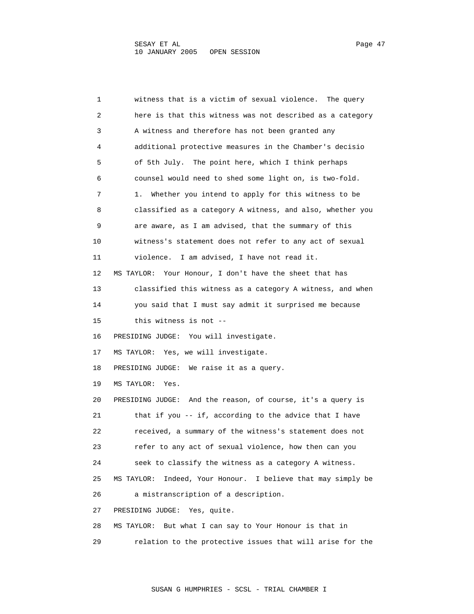| 1  | witness that is a victim of sexual violence. The query             |
|----|--------------------------------------------------------------------|
| 2  | here is that this witness was not described as a category          |
| 3  | A witness and therefore has not been granted any                   |
| 4  | additional protective measures in the Chamber's decisio            |
| 5  | of 5th July. The point here, which I think perhaps                 |
| 6  | counsel would need to shed some light on, is two-fold.             |
| 7  | Whether you intend to apply for this witness to be<br>1.           |
| 8  | classified as a category A witness, and also, whether you          |
| 9  | are aware, as I am advised, that the summary of this               |
| 10 | witness's statement does not refer to any act of sexual            |
| 11 | violence. I am advised, I have not read it.                        |
| 12 | Your Honour, I don't have the sheet that has<br>MS TAYLOR:         |
| 13 | classified this witness as a category A witness, and when          |
| 14 | you said that I must say admit it surprised me because             |
| 15 | this witness is not --                                             |
| 16 | PRESIDING JUDGE: You will investigate.                             |
| 17 | MS TAYLOR: Yes, we will investigate.                               |
| 18 | PRESIDING JUDGE: We raise it as a query.                           |
| 19 | MS TAYLOR:<br>Yes.                                                 |
| 20 | PRESIDING JUDGE: And the reason, of course, it's a query is        |
| 21 | that if you -- if, according to the advice that I have             |
| 22 | received, a summary of the witness's statement does not            |
| 23 | refer to any act of sexual violence, how then can you              |
| 24 | seek to classify the witness as a category A witness.              |
| 25 | Indeed, Your Honour.<br>I believe that may simply be<br>MS TAYLOR: |
| 26 | a mistranscription of a description.                               |
| 27 | Yes, quite.<br>PRESIDING JUDGE:                                    |
| 28 | But what I can say to Your Honour is that in<br>MS TAYLOR:         |
| 29 | relation to the protective issues that will arise for the          |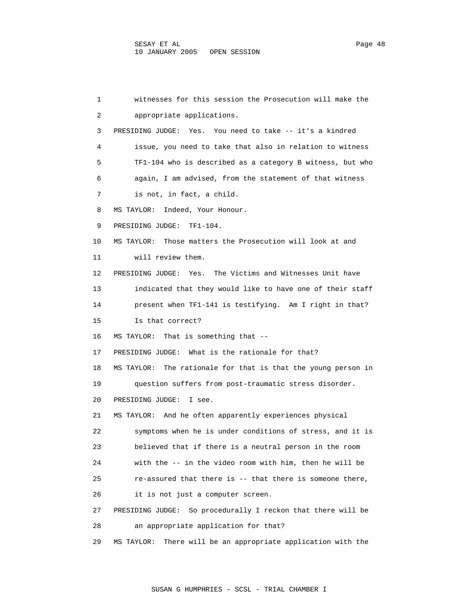1 witnesses for this session the Prosecution will make the 2 appropriate applications. 3 PRESIDING JUDGE: Yes. You need to take -- it's a kindred 4 issue, you need to take that also in relation to witness 5 TF1-104 who is described as a category B witness, but who 6 again, I am advised, from the statement of that witness 7 is not, in fact, a child. 8 MS TAYLOR: Indeed, Your Honour. 9 PRESIDING JUDGE: TF1-104. 10 MS TAYLOR: Those matters the Prosecution will look at and 11 will review them. 12 PRESIDING JUDGE: Yes. The Victims and Witnesses Unit have 13 indicated that they would like to have one of their staff 14 present when TF1-141 is testifying. Am I right in that? 15 Is that correct? 16 MS TAYLOR: That is something that -- 17 PRESIDING JUDGE: What is the rationale for that? 18 MS TAYLOR: The rationale for that is that the young person in 19 question suffers from post-traumatic stress disorder. 20 PRESIDING JUDGE: I see. 21 MS TAYLOR: And he often apparently experiences physical 22 symptoms when he is under conditions of stress, and it is 23 believed that if there is a neutral person in the room 24 with the -- in the video room with him, then he will be 25 re-assured that there is -- that there is someone there, 26 it is not just a computer screen. 27 PRESIDING JUDGE: So procedurally I reckon that there will be 28 an appropriate application for that? 29 MS TAYLOR: There will be an appropriate application with the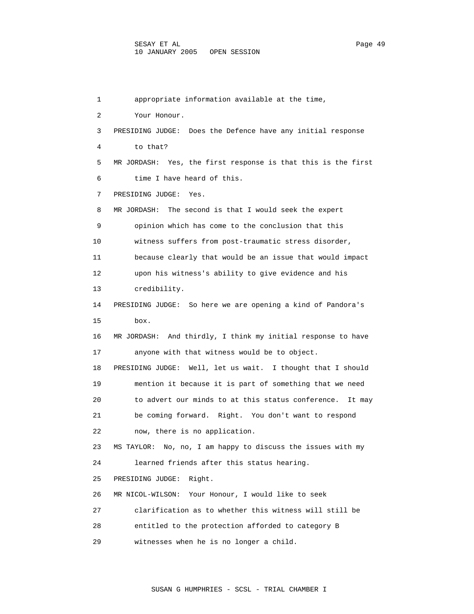1 appropriate information available at the time, 2 Your Honour. 3 PRESIDING JUDGE: Does the Defence have any initial response 4 to that? 5 MR JORDASH: Yes, the first response is that this is the first 6 time I have heard of this. 7 PRESIDING JUDGE: Yes. 8 MR JORDASH: The second is that I would seek the expert 9 opinion which has come to the conclusion that this 10 witness suffers from post-traumatic stress disorder, 11 because clearly that would be an issue that would impact 12 upon his witness's ability to give evidence and his 13 credibility. 14 PRESIDING JUDGE: So here we are opening a kind of Pandora's 15 box. 16 MR JORDASH: And thirdly, I think my initial response to have 17 anyone with that witness would be to object. 18 PRESIDING JUDGE: Well, let us wait. I thought that I should 19 mention it because it is part of something that we need 20 to advert our minds to at this status conference. It may 21 be coming forward. Right. You don't want to respond 22 now, there is no application. 23 MS TAYLOR: No, no, I am happy to discuss the issues with my 24 learned friends after this status hearing. 25 PRESIDING JUDGE: Right. 26 MR NICOL-WILSON: Your Honour, I would like to seek 27 clarification as to whether this witness will still be 28 entitled to the protection afforded to category B 29 witnesses when he is no longer a child.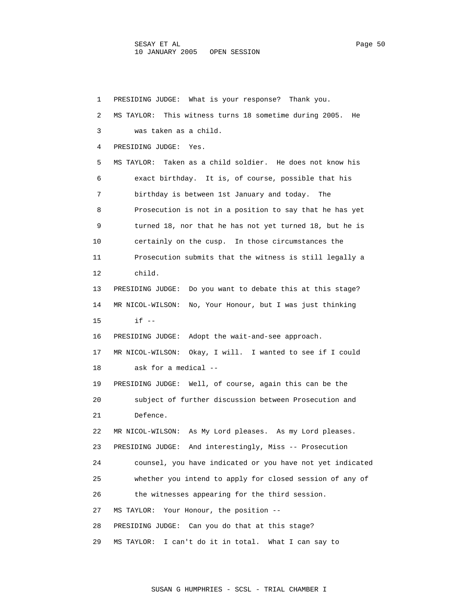1 PRESIDING JUDGE: What is your response? Thank you. 2 MS TAYLOR: This witness turns 18 sometime during 2005. He 3 was taken as a child. 4 PRESIDING JUDGE: Yes. 5 MS TAYLOR: Taken as a child soldier. He does not know his 6 exact birthday. It is, of course, possible that his 7 birthday is between 1st January and today. The 8 Prosecution is not in a position to say that he has yet 9 turned 18, nor that he has not yet turned 18, but he is 10 certainly on the cusp. In those circumstances the 11 Prosecution submits that the witness is still legally a 12 child. 13 PRESIDING JUDGE: Do you want to debate this at this stage? 14 MR NICOL-WILSON: No, Your Honour, but I was just thinking 15 if -- 16 PRESIDING JUDGE: Adopt the wait-and-see approach. 17 MR NICOL-WILSON: Okay, I will. I wanted to see if I could 18 ask for a medical -- 19 PRESIDING JUDGE: Well, of course, again this can be the 20 subject of further discussion between Prosecution and 21 Defence. 22 MR NICOL-WILSON: As My Lord pleases. As my Lord pleases. 23 PRESIDING JUDGE: And interestingly, Miss -- Prosecution 24 counsel, you have indicated or you have not yet indicated 25 whether you intend to apply for closed session of any of 26 the witnesses appearing for the third session. 27 MS TAYLOR: Your Honour, the position -- 28 PRESIDING JUDGE: Can you do that at this stage? 29 MS TAYLOR: I can't do it in total. What I can say to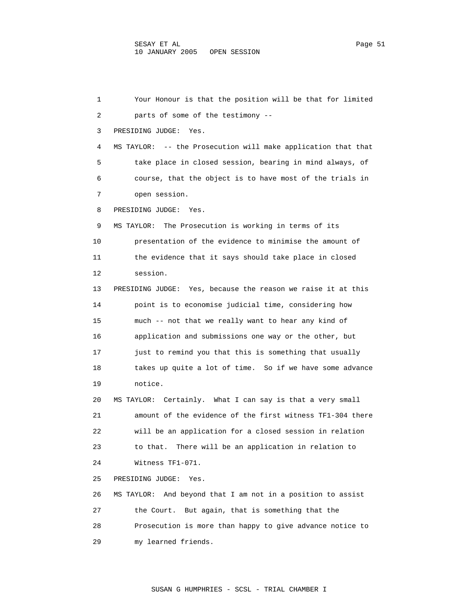1 Your Honour is that the position will be that for limited 2 parts of some of the testimony -- 3 PRESIDING JUDGE: Yes. 4 MS TAYLOR: -- the Prosecution will make application that that 5 take place in closed session, bearing in mind always, of 6 course, that the object is to have most of the trials in 7 open session. 8 PRESIDING JUDGE: Yes. 9 MS TAYLOR: The Prosecution is working in terms of its 10 presentation of the evidence to minimise the amount of 11 the evidence that it says should take place in closed 12 session. 13 PRESIDING JUDGE: Yes, because the reason we raise it at this 14 point is to economise judicial time, considering how 15 much -- not that we really want to hear any kind of 16 application and submissions one way or the other, but 17 just to remind you that this is something that usually 18 takes up quite a lot of time. So if we have some advance 19 notice. 20 MS TAYLOR: Certainly. What I can say is that a very small 21 amount of the evidence of the first witness TF1-304 there 22 will be an application for a closed session in relation 23 to that. There will be an application in relation to 24 Witness TF1-071. 25 PRESIDING JUDGE: Yes. 26 MS TAYLOR: And beyond that I am not in a position to assist 27 the Court. But again, that is something that the 28 Prosecution is more than happy to give advance notice to 29 my learned friends.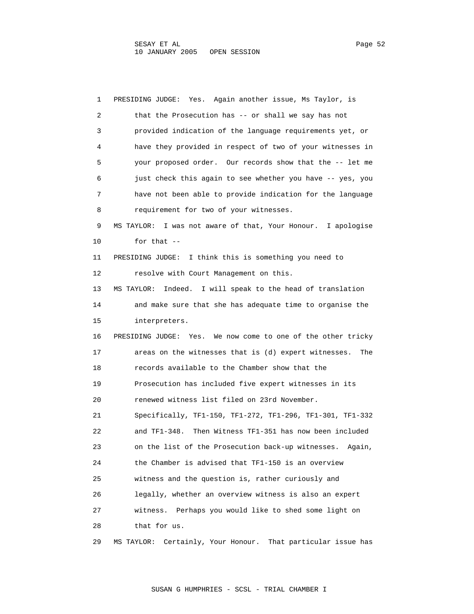1 PRESIDING JUDGE: Yes. Again another issue, Ms Taylor, is 2 that the Prosecution has -- or shall we say has not 3 provided indication of the language requirements yet, or 4 have they provided in respect of two of your witnesses in 5 your proposed order. Our records show that the -- let me 6 just check this again to see whether you have -- yes, you 7 have not been able to provide indication for the language 8 requirement for two of your witnesses. 9 MS TAYLOR: I was not aware of that, Your Honour. I apologise 10 for that -- 11 PRESIDING JUDGE: I think this is something you need to 12 resolve with Court Management on this. 13 MS TAYLOR: Indeed. I will speak to the head of translation 14 and make sure that she has adequate time to organise the 15 interpreters. 16 PRESIDING JUDGE: Yes. We now come to one of the other tricky 17 areas on the witnesses that is (d) expert witnesses. The 18 records available to the Chamber show that the 19 Prosecution has included five expert witnesses in its 20 renewed witness list filed on 23rd November. 21 Specifically, TF1-150, TF1-272, TF1-296, TF1-301, TF1-332 22 and TF1-348. Then Witness TF1-351 has now been included 23 on the list of the Prosecution back-up witnesses. Again, 24 the Chamber is advised that TF1-150 is an overview 25 witness and the question is, rather curiously and 26 legally, whether an overview witness is also an expert 27 witness. Perhaps you would like to shed some light on 28 that for us. 29 MS TAYLOR: Certainly, Your Honour. That particular issue has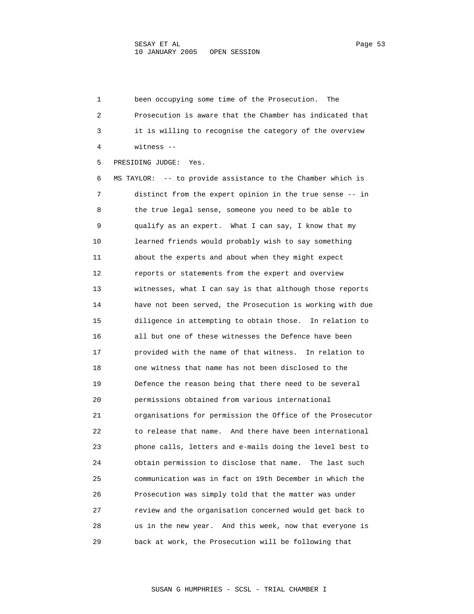1 been occupying some time of the Prosecution. The 2 Prosecution is aware that the Chamber has indicated that 3 it is willing to recognise the category of the overview 4 witness -- 5 PRESIDING JUDGE: Yes. 6 MS TAYLOR: -- to provide assistance to the Chamber which is 7 distinct from the expert opinion in the true sense -- in 8 the true legal sense, someone you need to be able to 9 qualify as an expert. What I can say, I know that my 10 learned friends would probably wish to say something 11 about the experts and about when they might expect 12 reports or statements from the expert and overview 13 witnesses, what I can say is that although those reports 14 have not been served, the Prosecution is working with due 15 diligence in attempting to obtain those. In relation to 16 all but one of these witnesses the Defence have been 17 provided with the name of that witness. In relation to 18 one witness that name has not been disclosed to the 19 Defence the reason being that there need to be several 20 permissions obtained from various international 21 organisations for permission the Office of the Prosecutor 22 to release that name. And there have been international 23 phone calls, letters and e-mails doing the level best to 24 obtain permission to disclose that name. The last such 25 communication was in fact on 19th December in which the 26 Prosecution was simply told that the matter was under 27 review and the organisation concerned would get back to 28 us in the new year. And this week, now that everyone is 29 back at work, the Prosecution will be following that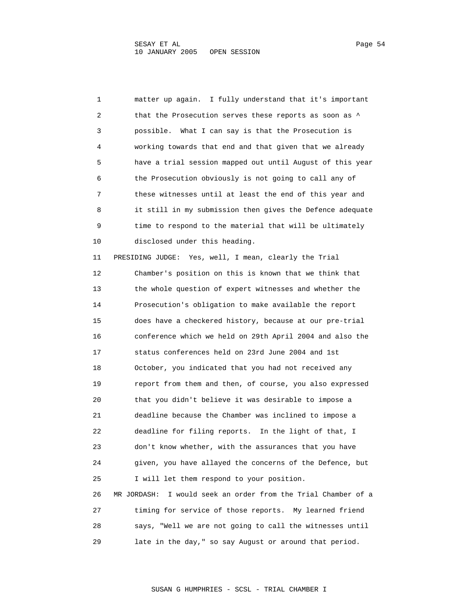1 matter up again. I fully understand that it's important 2 that the Prosecution serves these reports as soon as  $\uparrow$  3 possible. What I can say is that the Prosecution is 4 working towards that end and that given that we already 5 have a trial session mapped out until August of this year 6 the Prosecution obviously is not going to call any of 7 these witnesses until at least the end of this year and 8 it still in my submission then gives the Defence adequate 9 time to respond to the material that will be ultimately 10 disclosed under this heading. 11 PRESIDING JUDGE: Yes, well, I mean, clearly the Trial 12 Chamber's position on this is known that we think that 13 the whole question of expert witnesses and whether the 14 Prosecution's obligation to make available the report 15 does have a checkered history, because at our pre-trial 16 conference which we held on 29th April 2004 and also the 17 status conferences held on 23rd June 2004 and 1st 18 October, you indicated that you had not received any 19 report from them and then, of course, you also expressed 20 that you didn't believe it was desirable to impose a 21 deadline because the Chamber was inclined to impose a 22 deadline for filing reports. In the light of that, I

 23 don't know whether, with the assurances that you have 24 given, you have allayed the concerns of the Defence, but 25 I will let them respond to your position. 26 MR JORDASH: I would seek an order from the Trial Chamber of a 27 timing for service of those reports. My learned friend

 28 says, "Well we are not going to call the witnesses until 29 late in the day," so say August or around that period.

SUSAN G HUMPHRIES - SCSL - TRIAL CHAMBER I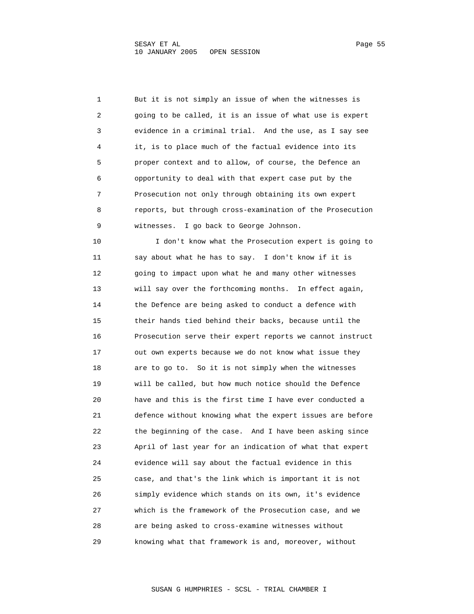1 But it is not simply an issue of when the witnesses is 2 going to be called, it is an issue of what use is expert 3 evidence in a criminal trial. And the use, as I say see 4 it, is to place much of the factual evidence into its 5 proper context and to allow, of course, the Defence an 6 opportunity to deal with that expert case put by the 7 Prosecution not only through obtaining its own expert 8 reports, but through cross-examination of the Prosecution 9 witnesses. I go back to George Johnson.

 10 I don't know what the Prosecution expert is going to 11 say about what he has to say. I don't know if it is 12 going to impact upon what he and many other witnesses 13 will say over the forthcoming months. In effect again, 14 the Defence are being asked to conduct a defence with 15 their hands tied behind their backs, because until the 16 Prosecution serve their expert reports we cannot instruct 17 out own experts because we do not know what issue they 18 are to go to. So it is not simply when the witnesses 19 will be called, but how much notice should the Defence 20 have and this is the first time I have ever conducted a 21 defence without knowing what the expert issues are before 22 the beginning of the case. And I have been asking since 23 April of last year for an indication of what that expert 24 evidence will say about the factual evidence in this 25 case, and that's the link which is important it is not 26 simply evidence which stands on its own, it's evidence 27 which is the framework of the Prosecution case, and we 28 are being asked to cross-examine witnesses without 29 knowing what that framework is and, moreover, without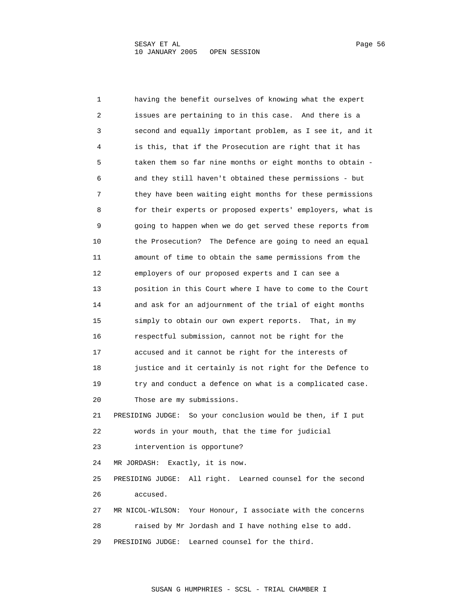1 having the benefit ourselves of knowing what the expert 2 issues are pertaining to in this case. And there is a 3 second and equally important problem, as I see it, and it 4 is this, that if the Prosecution are right that it has 5 taken them so far nine months or eight months to obtain - 6 and they still haven't obtained these permissions - but 7 they have been waiting eight months for these permissions 8 for their experts or proposed experts' employers, what is 9 going to happen when we do get served these reports from 10 the Prosecution? The Defence are going to need an equal 11 amount of time to obtain the same permissions from the 12 employers of our proposed experts and I can see a 13 position in this Court where I have to come to the Court 14 and ask for an adjournment of the trial of eight months 15 simply to obtain our own expert reports. That, in my 16 respectful submission, cannot not be right for the 17 accused and it cannot be right for the interests of 18 justice and it certainly is not right for the Defence to 19 try and conduct a defence on what is a complicated case. 20 Those are my submissions. 21 PRESIDING JUDGE: So your conclusion would be then, if I put 22 words in your mouth, that the time for judicial 23 intervention is opportune? 24 MR JORDASH: Exactly, it is now. 25 PRESIDING JUDGE: All right. Learned counsel for the second 26 accused. 27 MR NICOL-WILSON: Your Honour, I associate with the concerns 28 raised by Mr Jordash and I have nothing else to add. 29 PRESIDING JUDGE: Learned counsel for the third.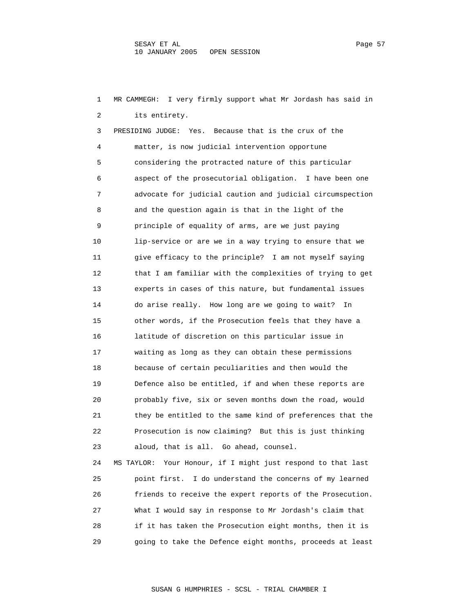1 MR CAMMEGH: I very firmly support what Mr Jordash has said in 2 its entirety. 3 PRESIDING JUDGE: Yes. Because that is the crux of the 4 matter, is now judicial intervention opportune 5 considering the protracted nature of this particular 6 aspect of the prosecutorial obligation. I have been one 7 advocate for judicial caution and judicial circumspection 8 and the question again is that in the light of the 9 principle of equality of arms, are we just paying 10 lip-service or are we in a way trying to ensure that we 11 give efficacy to the principle? I am not myself saying 12 that I am familiar with the complexities of trying to get 13 experts in cases of this nature, but fundamental issues 14 do arise really. How long are we going to wait? In 15 other words, if the Prosecution feels that they have a 16 latitude of discretion on this particular issue in 17 waiting as long as they can obtain these permissions 18 because of certain peculiarities and then would the 19 Defence also be entitled, if and when these reports are 20 probably five, six or seven months down the road, would 21 they be entitled to the same kind of preferences that the 22 Prosecution is now claiming? But this is just thinking 23 aloud, that is all. Go ahead, counsel. 24 MS TAYLOR: Your Honour, if I might just respond to that last 25 point first. I do understand the concerns of my learned 26 friends to receive the expert reports of the Prosecution.

 27 What I would say in response to Mr Jordash's claim that 28 if it has taken the Prosecution eight months, then it is 29 going to take the Defence eight months, proceeds at least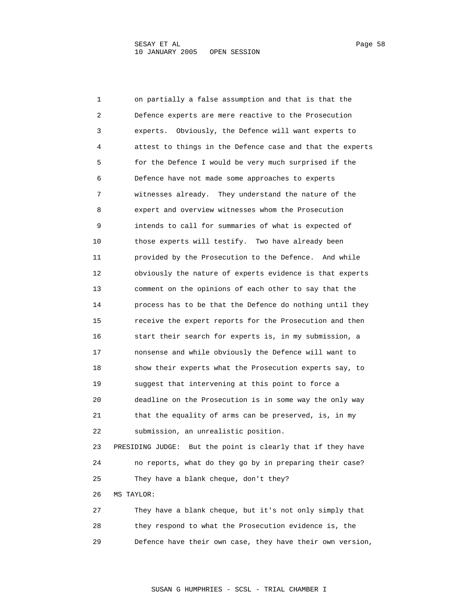1 on partially a false assumption and that is that the 2 Defence experts are mere reactive to the Prosecution 3 experts. Obviously, the Defence will want experts to 4 attest to things in the Defence case and that the experts 5 for the Defence I would be very much surprised if the 6 Defence have not made some approaches to experts 7 witnesses already. They understand the nature of the 8 expert and overview witnesses whom the Prosecution 9 intends to call for summaries of what is expected of 10 those experts will testify. Two have already been 11 provided by the Prosecution to the Defence. And while 12 obviously the nature of experts evidence is that experts 13 comment on the opinions of each other to say that the 14 process has to be that the Defence do nothing until they 15 receive the expert reports for the Prosecution and then 16 start their search for experts is, in my submission, a 17 nonsense and while obviously the Defence will want to 18 show their experts what the Prosecution experts say, to 19 suggest that intervening at this point to force a 20 deadline on the Prosecution is in some way the only way 21 that the equality of arms can be preserved, is, in my 22 submission, an unrealistic position. 23 PRESIDING JUDGE: But the point is clearly that if they have 24 no reports, what do they go by in preparing their case? 25 They have a blank cheque, don't they? 26 MS TAYLOR: 27 They have a blank cheque, but it's not only simply that 28 they respond to what the Prosecution evidence is, the

29 Defence have their own case, they have their own version,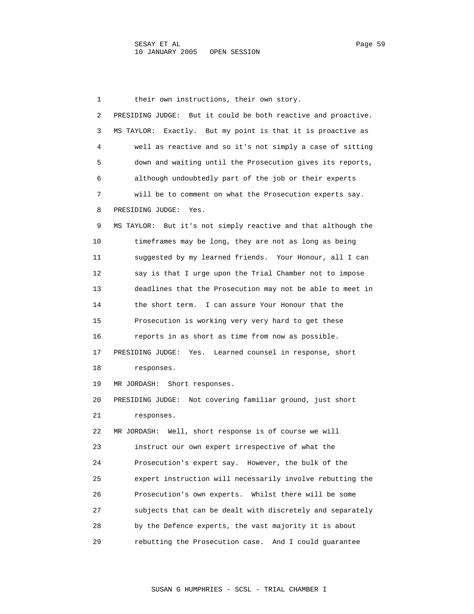1 their own instructions, their own story. 2 PRESIDING JUDGE: But it could be both reactive and proactive. 3 MS TAYLOR: Exactly. But my point is that it is proactive as 4 well as reactive and so it's not simply a case of sitting 5 down and waiting until the Prosecution gives its reports, 6 although undoubtedly part of the job or their experts 7 will be to comment on what the Prosecution experts say. 8 PRESIDING JUDGE: Yes. 9 MS TAYLOR: But it's not simply reactive and that although the 10 timeframes may be long, they are not as long as being 11 suggested by my learned friends. Your Honour, all I can 12 say is that I urge upon the Trial Chamber not to impose 13 deadlines that the Prosecution may not be able to meet in 14 the short term. I can assure Your Honour that the 15 Prosecution is working very very hard to get these 16 reports in as short as time from now as possible. 17 PRESIDING JUDGE: Yes. Learned counsel in response, short 18 responses. 19 MR JORDASH: Short responses. 20 PRESIDING JUDGE: Not covering familiar ground, just short 21 responses. 22 MR JORDASH: Well, short response is of course we will 23 instruct our own expert irrespective of what the 24 Prosecution's expert say. However, the bulk of the 25 expert instruction will necessarily involve rebutting the 26 Prosecution's own experts. Whilst there will be some 27 subjects that can be dealt with discretely and separately 28 by the Defence experts, the vast majority it is about 29 rebutting the Prosecution case. And I could guarantee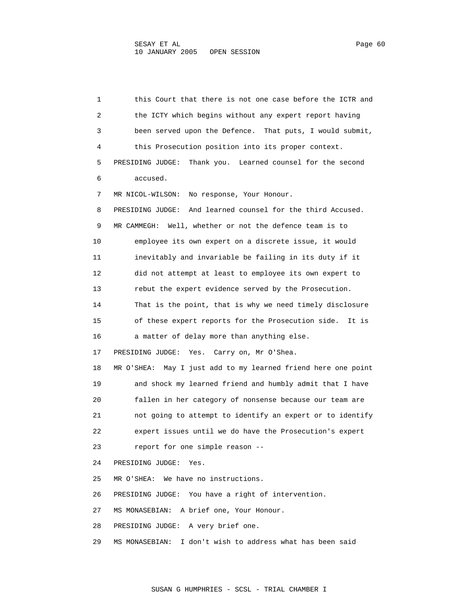1 this Court that there is not one case before the ICTR and 2 the ICTY which begins without any expert report having 3 been served upon the Defence. That puts, I would submit, 4 this Prosecution position into its proper context. 5 PRESIDING JUDGE: Thank you. Learned counsel for the second 6 accused. 7 MR NICOL-WILSON: No response, Your Honour. 8 PRESIDING JUDGE: And learned counsel for the third Accused. 9 MR CAMMEGH: Well, whether or not the defence team is to 10 employee its own expert on a discrete issue, it would 11 inevitably and invariable be failing in its duty if it 12 did not attempt at least to employee its own expert to 13 rebut the expert evidence served by the Prosecution. 14 That is the point, that is why we need timely disclosure 15 of these expert reports for the Prosecution side. It is 16 a matter of delay more than anything else. 17 PRESIDING JUDGE: Yes. Carry on, Mr O'Shea. 18 MR O'SHEA: May I just add to my learned friend here one point 19 and shock my learned friend and humbly admit that I have 20 fallen in her category of nonsense because our team are 21 not going to attempt to identify an expert or to identify 22 expert issues until we do have the Prosecution's expert 23 report for one simple reason -- 24 PRESIDING JUDGE: Yes. 25 MR O'SHEA: We have no instructions. 26 PRESIDING JUDGE: You have a right of intervention. 27 MS MONASEBIAN: A brief one, Your Honour. 28 PRESIDING JUDGE: A very brief one. 29 MS MONASEBIAN: I don't wish to address what has been said

SUSAN G HUMPHRIES - SCSL - TRIAL CHAMBER I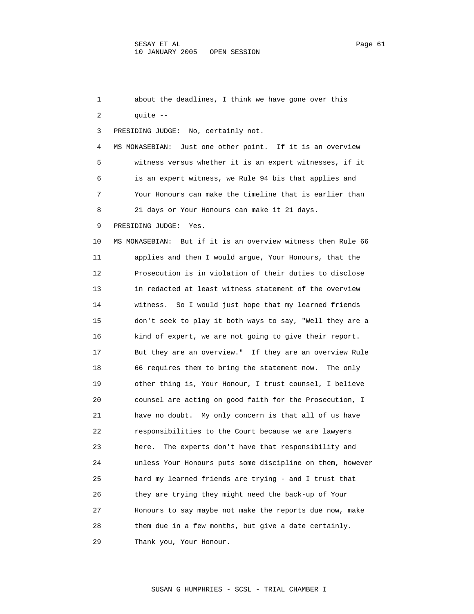1 about the deadlines, I think we have gone over this 2 quite -- 3 PRESIDING JUDGE: No, certainly not. 4 MS MONASEBIAN: Just one other point. If it is an overview 5 witness versus whether it is an expert witnesses, if it 6 is an expert witness, we Rule 94 bis that applies and 7 Your Honours can make the timeline that is earlier than 8 21 days or Your Honours can make it 21 days. 9 PRESIDING JUDGE: Yes. 10 MS MONASEBIAN: But if it is an overview witness then Rule 66 11 applies and then I would argue, Your Honours, that the 12 Prosecution is in violation of their duties to disclose 13 in redacted at least witness statement of the overview 14 witness. So I would just hope that my learned friends 15 don't seek to play it both ways to say, "Well they are a 16 kind of expert, we are not going to give their report. 17 But they are an overview." If they are an overview Rule 18 66 requires them to bring the statement now. The only 19 other thing is, Your Honour, I trust counsel, I believe 20 counsel are acting on good faith for the Prosecution, I 21 have no doubt. My only concern is that all of us have 22 responsibilities to the Court because we are lawyers 23 here. The experts don't have that responsibility and 24 unless Your Honours puts some discipline on them, however 25 hard my learned friends are trying - and I trust that 26 they are trying they might need the back-up of Your 27 Honours to say maybe not make the reports due now, make 28 them due in a few months, but give a date certainly. 29 Thank you, Your Honour.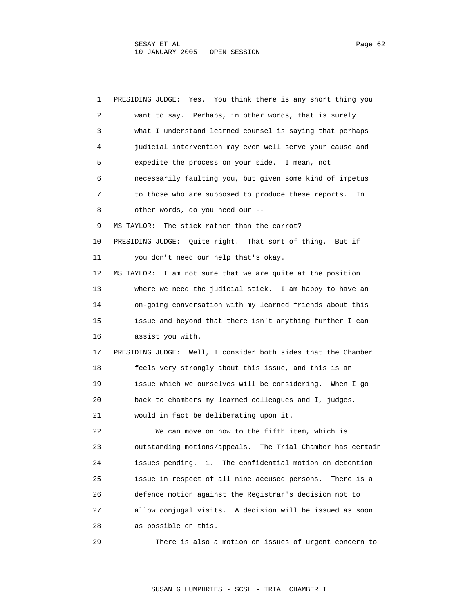1 PRESIDING JUDGE: Yes. You think there is any short thing you 2 want to say. Perhaps, in other words, that is surely 3 what I understand learned counsel is saying that perhaps 4 judicial intervention may even well serve your cause and 5 expedite the process on your side. I mean, not 6 necessarily faulting you, but given some kind of impetus 7 to those who are supposed to produce these reports. In 8 other words, do you need our -- 9 MS TAYLOR: The stick rather than the carrot? 10 PRESIDING JUDGE: Quite right. That sort of thing. But if 11 you don't need our help that's okay. 12 MS TAYLOR: I am not sure that we are quite at the position 13 where we need the judicial stick. I am happy to have an 14 on-going conversation with my learned friends about this 15 issue and beyond that there isn't anything further I can 16 assist you with. 17 PRESIDING JUDGE: Well, I consider both sides that the Chamber 18 feels very strongly about this issue, and this is an 19 issue which we ourselves will be considering. When I go 20 back to chambers my learned colleagues and I, judges, 21 would in fact be deliberating upon it. 22 We can move on now to the fifth item, which is 23 outstanding motions/appeals. The Trial Chamber has certain 24 issues pending. 1. The confidential motion on detention 25 issue in respect of all nine accused persons. There is a 26 defence motion against the Registrar's decision not to 27 allow conjugal visits. A decision will be issued as soon 28 as possible on this. 29 There is also a motion on issues of urgent concern to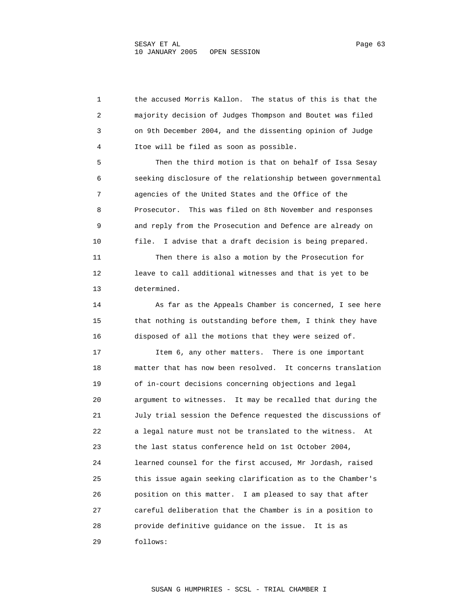1 the accused Morris Kallon. The status of this is that the 2 majority decision of Judges Thompson and Boutet was filed 3 on 9th December 2004, and the dissenting opinion of Judge 4 Itoe will be filed as soon as possible. 5 Then the third motion is that on behalf of Issa Sesay 6 seeking disclosure of the relationship between governmental 7 agencies of the United States and the Office of the 8 Prosecutor. This was filed on 8th November and responses 9 and reply from the Prosecution and Defence are already on 10 file. I advise that a draft decision is being prepared. 11 Then there is also a motion by the Prosecution for 12 leave to call additional witnesses and that is yet to be 13 determined. 14 As far as the Appeals Chamber is concerned, I see here 15 that nothing is outstanding before them, I think they have 16 disposed of all the motions that they were seized of. 17 Item 6, any other matters. There is one important 18 matter that has now been resolved. It concerns translation 19 of in-court decisions concerning objections and legal 20 argument to witnesses. It may be recalled that during the 21 July trial session the Defence requested the discussions of 22 a legal nature must not be translated to the witness. At 23 the last status conference held on 1st October 2004, 24 learned counsel for the first accused, Mr Jordash, raised 25 this issue again seeking clarification as to the Chamber's 26 position on this matter. I am pleased to say that after 27 careful deliberation that the Chamber is in a position to 28 provide definitive guidance on the issue. It is as 29 follows: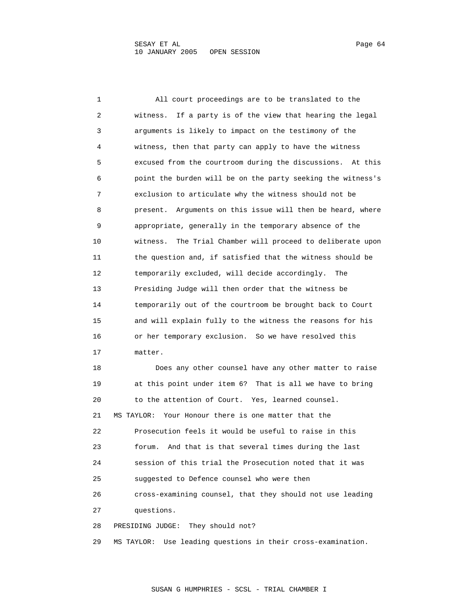1 All court proceedings are to be translated to the 2 witness. If a party is of the view that hearing the legal 3 arguments is likely to impact on the testimony of the 4 witness, then that party can apply to have the witness 5 excused from the courtroom during the discussions. At this 6 point the burden will be on the party seeking the witness's 7 exclusion to articulate why the witness should not be 8 present. Arguments on this issue will then be heard, where 9 appropriate, generally in the temporary absence of the 10 witness. The Trial Chamber will proceed to deliberate upon 11 the question and, if satisfied that the witness should be 12 temporarily excluded, will decide accordingly. The 13 Presiding Judge will then order that the witness be 14 temporarily out of the courtroom be brought back to Court 15 and will explain fully to the witness the reasons for his 16 or her temporary exclusion. So we have resolved this 17 matter. 18 Does any other counsel have any other matter to raise 19 at this point under item 6? That is all we have to bring 20 to the attention of Court. Yes, learned counsel. 21 MS TAYLOR: Your Honour there is one matter that the 22 Prosecution feels it would be useful to raise in this 23 forum. And that is that several times during the last 24 session of this trial the Prosecution noted that it was 25 suggested to Defence counsel who were then 26 cross-examining counsel, that they should not use leading 27 questions. 28 PRESIDING JUDGE: They should not? 29 MS TAYLOR: Use leading questions in their cross-examination.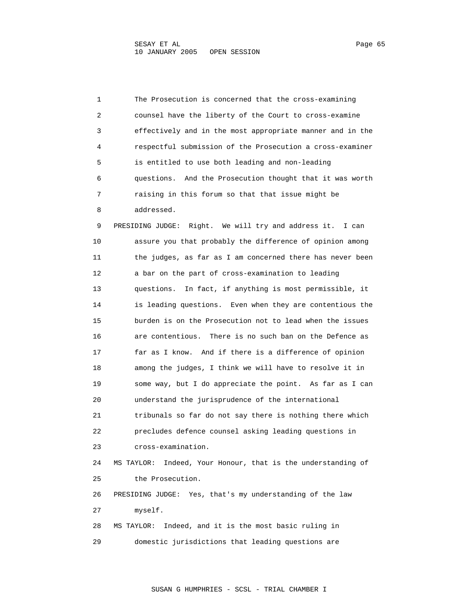1 The Prosecution is concerned that the cross-examining 2 counsel have the liberty of the Court to cross-examine 3 effectively and in the most appropriate manner and in the 4 respectful submission of the Prosecution a cross-examiner 5 is entitled to use both leading and non-leading 6 questions. And the Prosecution thought that it was worth 7 raising in this forum so that that issue might be 8 addressed. 9 PRESIDING JUDGE: Right. We will try and address it. I can 10 assure you that probably the difference of opinion among 11 the judges, as far as I am concerned there has never been 12 a bar on the part of cross-examination to leading 13 questions. In fact, if anything is most permissible, it 14 is leading questions. Even when they are contentious the 15 burden is on the Prosecution not to lead when the issues 16 are contentious. There is no such ban on the Defence as 17 far as I know. And if there is a difference of opinion 18 among the judges, I think we will have to resolve it in 19 some way, but I do appreciate the point. As far as I can 20 understand the jurisprudence of the international 21 tribunals so far do not say there is nothing there which 22 precludes defence counsel asking leading questions in 23 cross-examination. 24 MS TAYLOR: Indeed, Your Honour, that is the understanding of 25 the Prosecution. 26 PRESIDING JUDGE: Yes, that's my understanding of the law 27 myself. 28 MS TAYLOR: Indeed, and it is the most basic ruling in 29 domestic jurisdictions that leading questions are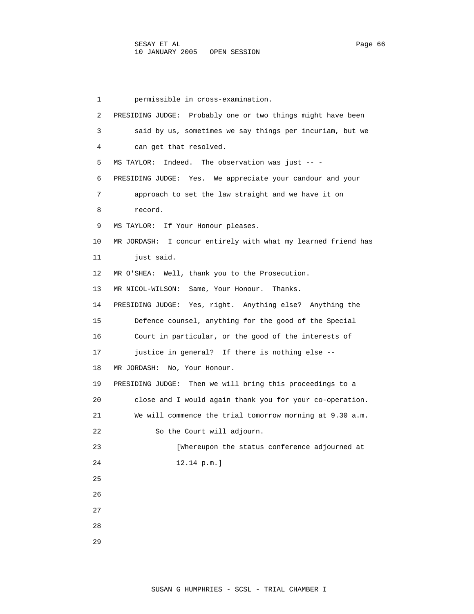1 permissible in cross-examination. 2 PRESIDING JUDGE: Probably one or two things might have been 3 said by us, sometimes we say things per incuriam, but we 4 can get that resolved. 5 MS TAYLOR: Indeed. The observation was just -- - 6 PRESIDING JUDGE: Yes. We appreciate your candour and your 7 approach to set the law straight and we have it on 8 record. 9 MS TAYLOR: If Your Honour pleases. 10 MR JORDASH: I concur entirely with what my learned friend has 11 just said. 12 MR O'SHEA: Well, thank you to the Prosecution. 13 MR NICOL-WILSON: Same, Your Honour. Thanks. 14 PRESIDING JUDGE: Yes, right. Anything else? Anything the 15 Defence counsel, anything for the good of the Special 16 Court in particular, or the good of the interests of 17 justice in general? If there is nothing else -- 18 MR JORDASH: No, Your Honour. 19 PRESIDING JUDGE: Then we will bring this proceedings to a 20 close and I would again thank you for your co-operation. 21 We will commence the trial tomorrow morning at 9.30 a.m. 22 So the Court will adjourn. 23 [Whereupon the status conference adjourned at 24 12.14 p.m.] 25 26 27 28 29